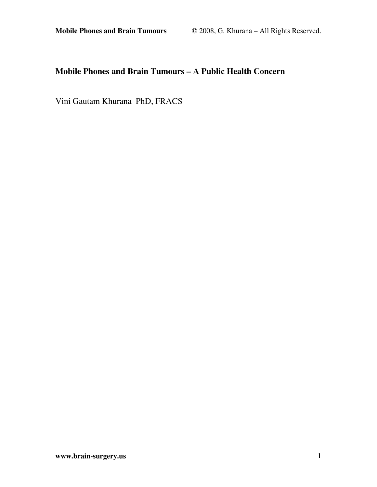# **Mobile Phones and Brain Tumours – A Public Health Concern**

Vini Gautam Khurana PhD, FRACS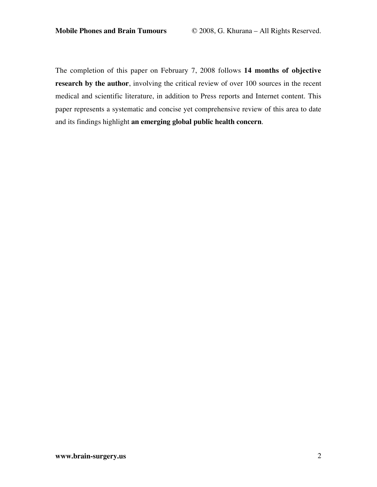The completion of this paper on February 7, 2008 follows **14 months of objective research by the author**, involving the critical review of over 100 sources in the recent medical and scientific literature, in addition to Press reports and Internet content. This paper represents a systematic and concise yet comprehensive review of this area to date and its findings highlight **an emerging global public health concern**.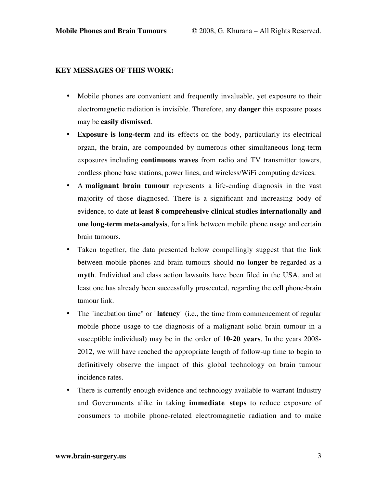### **KEY MESSAGES OF THIS WORK:**

- Mobile phones are convenient and frequently invaluable, yet exposure to their electromagnetic radiation is invisible. Therefore, any **danger** this exposure poses may be **easily dismissed**.
- E**xposure is long-term** and its effects on the body, particularly its electrical organ, the brain, are compounded by numerous other simultaneous long-term exposures including **continuous waves** from radio and TV transmitter towers, cordless phone base stations, power lines, and wireless/WiFi computing devices.
- A **malignant brain tumour** represents a life-ending diagnosis in the vast majority of those diagnosed. There is a significant and increasing body of evidence, to date **at least 8 comprehensive clinical studies internationally and one long-term meta-analysis**, for a link between mobile phone usage and certain brain tumours.
- Taken together, the data presented below compellingly suggest that the link between mobile phones and brain tumours should **no longer** be regarded as a **myth**. Individual and class action lawsuits have been filed in the USA, and at least one has already been successfully prosecuted, regarding the cell phone-brain tumour link.
- The "incubation time" or "**latency**" (i.e., the time from commencement of regular mobile phone usage to the diagnosis of a malignant solid brain tumour in a susceptible individual) may be in the order of **10-20 years**. In the years 2008- 2012, we will have reached the appropriate length of follow-up time to begin to definitively observe the impact of this global technology on brain tumour incidence rates.
- There is currently enough evidence and technology available to warrant Industry and Governments alike in taking **immediate steps** to reduce exposure of consumers to mobile phone-related electromagnetic radiation and to make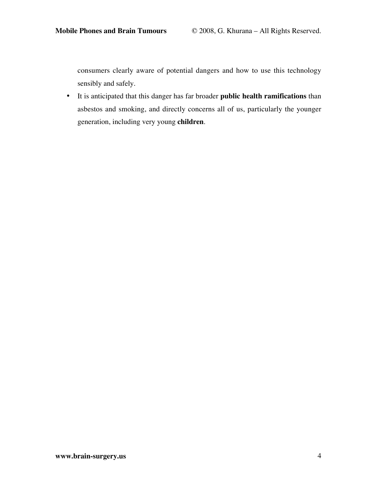consumers clearly aware of potential dangers and how to use this technology sensibly and safely.

• It is anticipated that this danger has far broader **public health ramifications** than asbestos and smoking, and directly concerns all of us, particularly the younger generation, including very young **children**.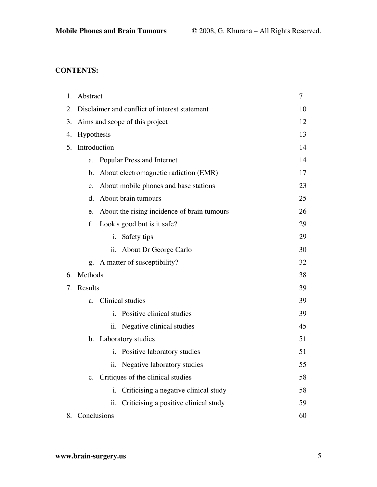# **CONTENTS:**

| 1. | Abstract                                      |                                              | 7  |
|----|-----------------------------------------------|----------------------------------------------|----|
| 2. | Disclaimer and conflict of interest statement |                                              |    |
| 3. | Aims and scope of this project                |                                              | 12 |
| 4. | Hypothesis                                    |                                              | 13 |
| 5. | Introduction                                  |                                              | 14 |
|    | a.                                            | Popular Press and Internet                   | 14 |
|    | b.                                            | About electromagnetic radiation (EMR)        | 17 |
|    | c.                                            | About mobile phones and base stations        | 23 |
|    | d.                                            | About brain tumours                          | 25 |
|    | e.                                            | About the rising incidence of brain tumours  | 26 |
|    | f.                                            | Look's good but is it safe?                  | 29 |
|    |                                               | Safety tips<br>i.                            | 29 |
|    |                                               | ii. About Dr George Carlo                    | 30 |
|    |                                               | g. A matter of susceptibility?               | 32 |
| 6. | Methods                                       |                                              | 38 |
| 7. | Results                                       |                                              | 39 |
|    | a.                                            | Clinical studies                             | 39 |
|    |                                               | Positive clinical studies<br>i.              | 39 |
|    |                                               | ii. Negative clinical studies                | 45 |
|    |                                               | b. Laboratory studies                        | 51 |
|    |                                               | i. Positive laboratory studies               | 51 |
|    |                                               | Negative laboratory studies<br>ii.           | 55 |
|    | c.                                            | Critiques of the clinical studies            | 58 |
|    |                                               | Criticising a negative clinical study<br>i.  | 58 |
|    |                                               | Criticising a positive clinical study<br>ii. | 59 |
| 8. | Conclusions                                   |                                              | 60 |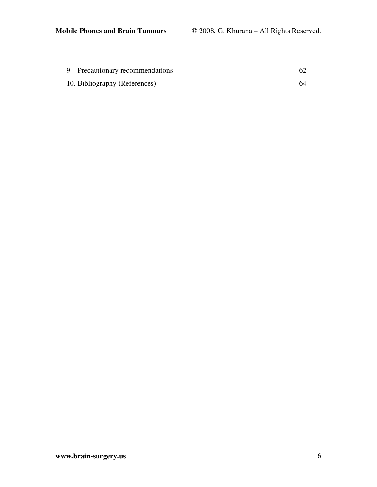| 9. Precautionary recommendations |    |
|----------------------------------|----|
| 10. Bibliography (References)    | 64 |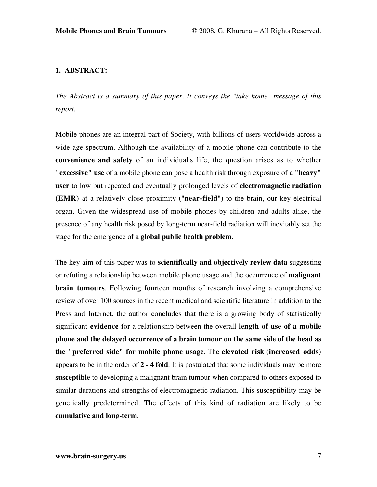## **1. ABSTRACT:**

*The Abstract is a summary of this paper. It conveys the "take home" message of this report.*

Mobile phones are an integral part of Society, with billions of users worldwide across a wide age spectrum. Although the availability of a mobile phone can contribute to the **convenience and safety** of an individual's life, the question arises as to whether **"excessive" use** of a mobile phone can pose a health risk through exposure of a **"heavy" user** to low but repeated and eventually prolonged levels of **electromagnetic radiation (EMR)** at a relatively close proximity ("**near-field**") to the brain, our key electrical organ. Given the widespread use of mobile phones by children and adults alike, the presence of any health risk posed by long-term near-field radiation will inevitably set the stage for the emergence of a **global public health problem**.

The key aim of this paper was to **scientifically and objectively review data** suggesting or refuting a relationship between mobile phone usage and the occurrence of **malignant brain tumours**. Following fourteen months of research involving a comprehensive review of over 100 sources in the recent medical and scientific literature in addition to the Press and Internet, the author concludes that there is a growing body of statistically significant **evidence** for a relationship between the overall **length of use of a mobile phone and the delayed occurrence of a brain tumour on the same side of the head as the "preferred side" for mobile phone usage**. The **elevated risk** (**increased odds**) appears to be in the order of **2 - 4 fold**. It is postulated that some individuals may be more **susceptible** to developing a malignant brain tumour when compared to others exposed to similar durations and strengths of electromagnetic radiation. This susceptibility may be genetically predetermined. The effects of this kind of radiation are likely to be **cumulative and long-term**.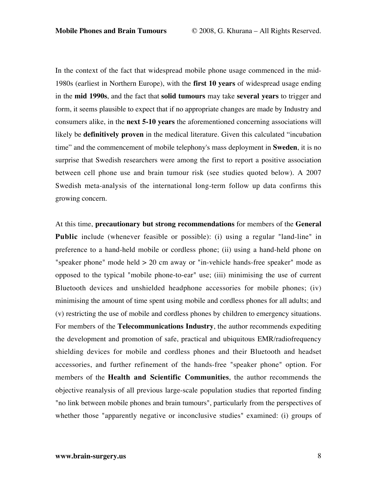In the context of the fact that widespread mobile phone usage commenced in the mid-1980s (earliest in Northern Europe), with the **first 10 years** of widespread usage ending in the **mid 1990s**, and the fact that **solid tumours** may take **several years** to trigger and form, it seems plausible to expect that if no appropriate changes are made by Industry and consumers alike, in the **next 5-10 years** the aforementioned concerning associations will likely be **definitively proven** in the medical literature. Given this calculated "incubation time" and the commencement of mobile telephony's mass deployment in **Sweden**, it is no surprise that Swedish researchers were among the first to report a positive association between cell phone use and brain tumour risk (see studies quoted below). A 2007 Swedish meta-analysis of the international long-term follow up data confirms this growing concern.

At this time, **precautionary but strong recommendations** for members of the **General Public** include (whenever feasible or possible): (i) using a regular "land-line" in preference to a hand-held mobile or cordless phone; (ii) using a hand-held phone on "speaker phone" mode held > 20 cm away or "in-vehicle hands-free speaker" mode as opposed to the typical "mobile phone-to-ear" use; (iii) minimising the use of current Bluetooth devices and unshielded headphone accessories for mobile phones; (iv) minimising the amount of time spent using mobile and cordless phones for all adults; and (v) restricting the use of mobile and cordless phones by children to emergency situations. For members of the **Telecommunications Industry**, the author recommends expediting the development and promotion of safe, practical and ubiquitous EMR/radiofrequency shielding devices for mobile and cordless phones and their Bluetooth and headset accessories, and further refinement of the hands-free "speaker phone" option. For members of the **Health and Scientific Communities**, the author recommends the objective reanalysis of all previous large-scale population studies that reported finding "no link between mobile phones and brain tumours", particularly from the perspectives of whether those "apparently negative or inconclusive studies" examined: (i) groups of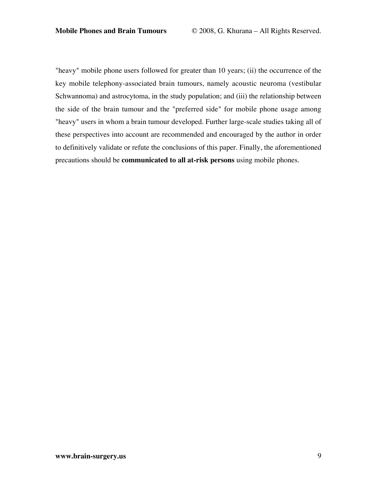"heavy" mobile phone users followed for greater than 10 years; (ii) the occurrence of the key mobile telephony-associated brain tumours, namely acoustic neuroma (vestibular Schwannoma) and astrocytoma, in the study population; and (iii) the relationship between the side of the brain tumour and the "preferred side" for mobile phone usage among "heavy" users in whom a brain tumour developed. Further large-scale studies taking all of these perspectives into account are recommended and encouraged by the author in order to definitively validate or refute the conclusions of this paper. Finally, the aforementioned precautions should be **communicated to all at-risk persons** using mobile phones.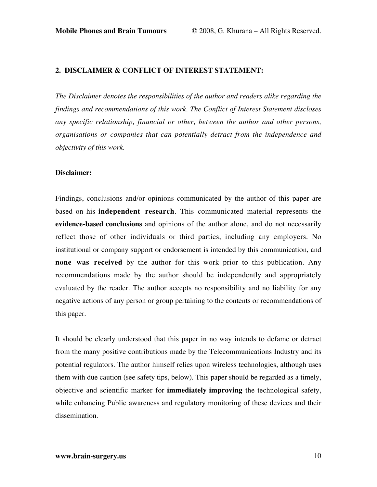## **2. DISCLAIMER & CONFLICT OF INTEREST STATEMENT:**

*The Disclaimer denotes the responsibilities of the author and readers alike regarding the findings and recommendations of this work. The Conflict of Interest Statement discloses any specific relationship, financial or other, between the author and other persons, organisations or companies that can potentially detract from the independence and objectivity of this work.*

## **Disclaimer:**

Findings, conclusions and/or opinions communicated by the author of this paper are based on his **independent research**. This communicated material represents the **evidence-based conclusions** and opinions of the author alone, and do not necessarily reflect those of other individuals or third parties, including any employers. No institutional or company support or endorsement is intended by this communication, and **none was received** by the author for this work prior to this publication. Any recommendations made by the author should be independently and appropriately evaluated by the reader. The author accepts no responsibility and no liability for any negative actions of any person or group pertaining to the contents or recommendations of this paper.

It should be clearly understood that this paper in no way intends to defame or detract from the many positive contributions made by the Telecommunications Industry and its potential regulators. The author himself relies upon wireless technologies, although uses them with due caution (see safety tips, below). This paper should be regarded as a timely, objective and scientific marker for **immediately improving** the technological safety, while enhancing Public awareness and regulatory monitoring of these devices and their dissemination.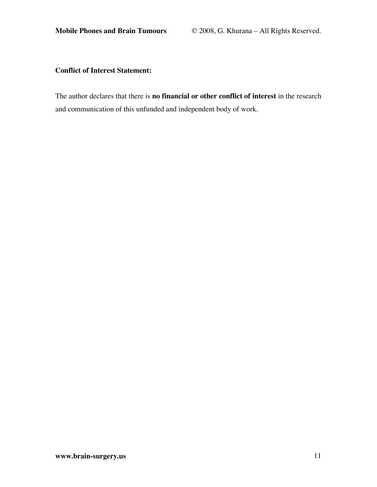## **Conflict of Interest Statement:**

The author declares that there is **no financial or other conflict of interest** in the research and communication of this unfunded and independent body of work.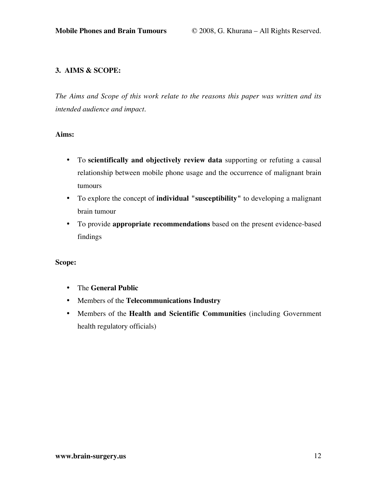## **3. AIMS & SCOPE:**

*The Aims and Scope of this work relate to the reasons this paper was written and its intended audience and impact.*

## **Aims:**

- To **scientifically and objectively review data** supporting or refuting a causal relationship between mobile phone usage and the occurrence of malignant brain tumours
- To explore the concept of **individual "susceptibility"** to developing a malignant brain tumour
- To provide **appropriate recommendations** based on the present evidence-based findings

## **Scope:**

- The **General Public**
- Members of the **Telecommunications Industry**
- Members of the **Health and Scientific Communities** (including Government health regulatory officials)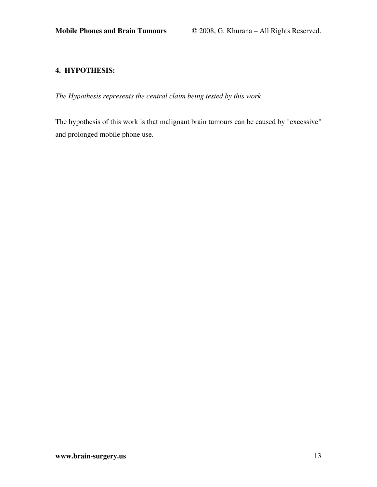## **4. HYPOTHESIS:**

*The Hypothesis represents the central claim being tested by this work.*

The hypothesis of this work is that malignant brain tumours can be caused by "excessive" and prolonged mobile phone use.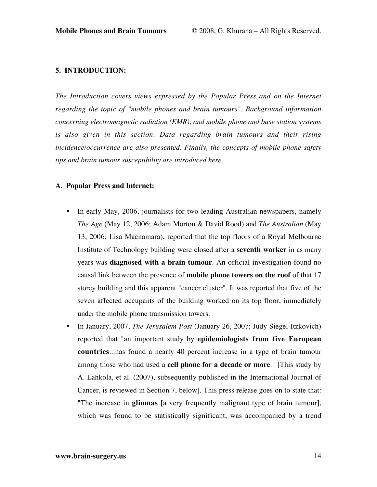#### **5. INTRODUCTION:**

*The Introduction covers views expressed by the Popular Press and on the Internet regarding the topic of "mobile phones and brain tumours". Background information concerning electromagnetic radiation (EMR), and mobile phone and base station systems is also given in this section. Data regarding brain tumours and their rising incidence/occurrence are also presented. Finally, the concepts of mobile phone safety tips and brain tumour susceptibility are introduced here.*

## **A. Popular Press and Internet:**

- In early May, 2006, journalists for two leading Australian newspapers, namely *The Age* (May 12, 2006; Adam Morton & David Rood) and *The Australian* (May 13, 2006; Lisa Macnamara), reported that the top floors of a Royal Melbourne Institute of Technology building were closed after a **seventh worker** in as many years was **diagnosed with a brain tumour**. An official investigation found no causal link between the presence of **mobile phone towers on the roof** of that 17 storey building and this apparent "cancer cluster". It was reported that five of the seven affected occupants of the building worked on its top floor, immediately under the mobile phone transmission towers.
- In January, 2007, *The Jerusalem Post* (January 26, 2007; Judy Siegel-Itzkovich) reported that "an important study by **epidemiologists from five European countries**...has found a nearly 40 percent increase in a type of brain tumour among those who had used a **cell phone for a decade or more**." [This study by A. Lahkola, et al. (2007), subsequently published in the International Journal of Cancer, is reviewed in Section 7, below]. This press release goes on to state that: "The increase in **gliomas** [a very frequently malignant type of brain tumour], which was found to be statistically significant, was accompanied by a trend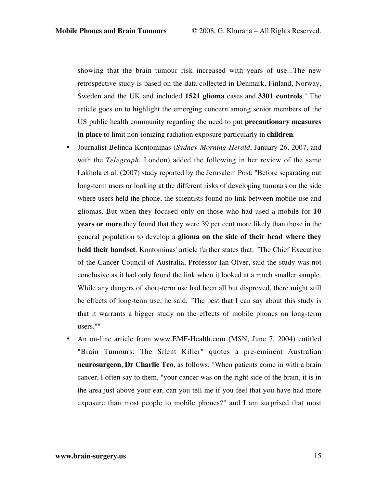showing that the brain tumour risk increased with years of use...The new retrospective study is based on the data collected in Denmark, Finland, Norway, Sweden and the UK and included **1521 glioma** cases and **3301 controls**." The article goes on to highlight the emerging concern among senior members of the US public health community regarding the need to put **precautionary measures in place** to limit non-ionizing radiation exposure particularly in **children**.

- Journalist Belinda Kontominas (*Sydney Morning Herald*, January 26, 2007, and with the *Telegraph*, London) added the following in her review of the same Lakhola et al. (2007) study reported by the Jerusalem Post: "Before separating out long-term users or looking at the different risks of developing tumours on the side where users held the phone, the scientists found no link between mobile use and gliomas. But when they focused only on those who had used a mobile for **10 years or more** they found that they were 39 per cent more likely than those in the general population to develop a **glioma on the side of their head where they held their handset**. Kontominas' article further states that: "The Chief Executive of the Cancer Council of Australia, Professor Ian Olver, said the study was not conclusive as it had only found the link when it looked at a much smaller sample. While any dangers of short-term use had been all but disproved, there might still be effects of long-term use, he said. "The best that I can say about this study is that it warrants a bigger study on the effects of mobile phones on long-term users.""
- An on-line article from www.EMF-Health.com (MSN, June 7, 2004) entitled "Brain Tumours: The Silent Killer" quotes a pre-eminent Australian **neurosurgeon**, **Dr Charlie Teo**, as follows: "When patients come in with a brain cancer, I often say to them, "your cancer was on the right side of the brain, it is in the area just above your ear, can you tell me if you feel that you have had more exposure than most people to mobile phones?" and I am surprised that most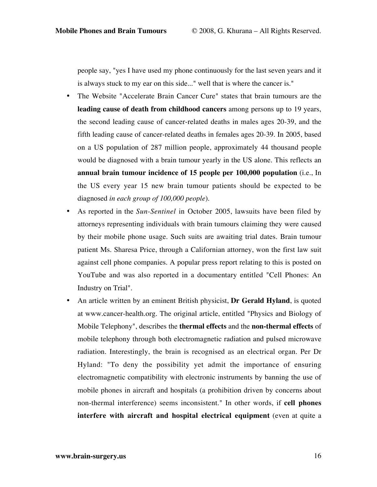people say, "yes I have used my phone continuously for the last seven years and it is always stuck to my ear on this side..." well that is where the cancer is."

- The Website "Accelerate Brain Cancer Cure" states that brain tumours are the **leading cause of death from childhood cancers** among persons up to 19 years, the second leading cause of cancer-related deaths in males ages 20-39, and the fifth leading cause of cancer-related deaths in females ages 20-39. In 2005, based on a US population of 287 million people, approximately 44 thousand people would be diagnosed with a brain tumour yearly in the US alone. This reflects an **annual brain tumour incidence of 15 people per 100,000 population** (i.e., In the US every year 15 new brain tumour patients should be expected to be diagnosed *in each group of 100,000 people*).
- As reported in the *Sun-Sentinel* in October 2005, lawsuits have been filed by attorneys representing individuals with brain tumours claiming they were caused by their mobile phone usage. Such suits are awaiting trial dates. Brain tumour patient Ms. Sharesa Price, through a Californian attorney, won the first law suit against cell phone companies. A popular press report relating to this is posted on YouTube and was also reported in a documentary entitled "Cell Phones: An Industry on Trial".
- An article written by an eminent British physicist, **Dr Gerald Hyland**, is quoted at www.cancer-health.org. The original article, entitled "Physics and Biology of Mobile Telephony", describes the **thermal effects** and the **non-thermal effects** of mobile telephony through both electromagnetic radiation and pulsed microwave radiation. Interestingly, the brain is recognised as an electrical organ. Per Dr Hyland: "To deny the possibility yet admit the importance of ensuring electromagnetic compatibility with electronic instruments by banning the use of mobile phones in aircraft and hospitals (a prohibition driven by concerns about non-thermal interference) seems inconsistent." In other words, if **cell phones interfere with aircraft and hospital electrical equipment** (even at quite a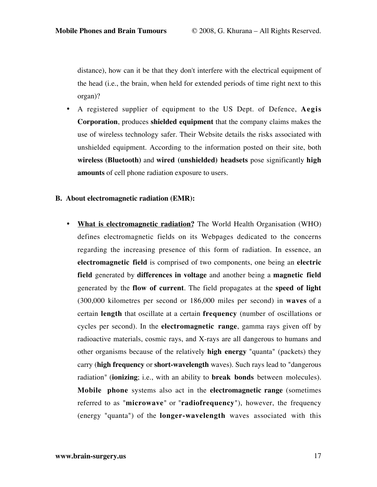distance), how can it be that they don't interfere with the electrical equipment of the head (i.e., the brain, when held for extended periods of time right next to this organ)?

• A registered supplier of equipment to the US Dept. of Defence, **Aegis Corporation**, produces **shielded equipment** that the company claims makes the use of wireless technology safer. Their Website details the risks associated with unshielded equipment. According to the information posted on their site, both **wireless (Bluetooth)** and **wired (unshielded) headsets** pose significantly **high amounts** of cell phone radiation exposure to users.

## **B. About electromagnetic radiation (EMR):**

• **What is electromagnetic radiation?** The World Health Organisation (WHO) defines electromagnetic fields on its Webpages dedicated to the concerns regarding the increasing presence of this form of radiation. In essence, an **electromagnetic field** is comprised of two components, one being an **electric field** generated by **differences in voltage** and another being a **magnetic field** generated by the **flow of current**. The field propagates at the **speed of light** (300,000 kilometres per second or 186,000 miles per second) in **waves** of a certain **length** that oscillate at a certain **frequency** (number of oscillations or cycles per second). In the **electromagnetic range**, gamma rays given off by radioactive materials, cosmic rays, and X-rays are all dangerous to humans and other organisms because of the relatively **high energy** "quanta" (packets) they carry (**high frequency** or **short-wavelength** waves). Such rays lead to "dangerous radiation" (**ionizing**; i.e., with an ability to **break bonds** between molecules). **Mobile phone** systems also act in the **electromagnetic range** (sometimes referred to as "**microwave**" or "**radiofrequency**"), however, the frequency (energy "quanta") of the **longer-wavelength** waves associated with this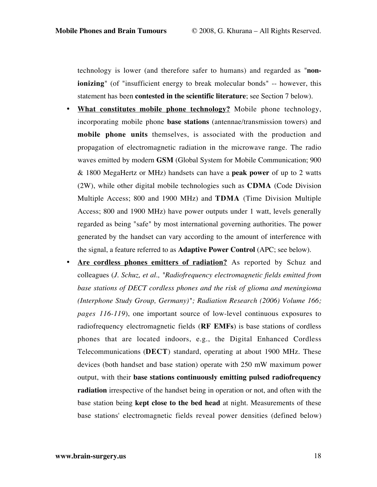technology is lower (and therefore safer to humans) and regarded as "**nonionizing**" (of "insufficient energy to break molecular bonds" -- however, this statement has been **contested in the scientific literature**; see Section 7 below).

- **What constitutes mobile phone technology?** Mobile phone technology, incorporating mobile phone **base stations** (antennae/transmission towers) and **mobile phone units** themselves, is associated with the production and propagation of electromagnetic radiation in the microwave range. The radio waves emitted by modern **GSM** (Global System for Mobile Communication; 900 & 1800 MegaHertz or MHz) handsets can have a **peak power** of up to 2 watts (2W), while other digital mobile technologies such as **CDMA** (Code Division Multiple Access; 800 and 1900 MHz) and **TDMA** (Time Division Multiple Access; 800 and 1900 MHz) have power outputs under 1 watt, levels generally regarded as being "safe" by most international governing authorities. The power generated by the handset can vary according to the amount of interference with the signal, a feature referred to as **Adaptive Power Control** (APC; see below).
- Are cordless phones emitters of radiation? As reported by Schuz and colleagues (*J. Schuz, et al., "Radiofrequency electromagnetic fields emitted from base stations of DECT cordless phones and the risk of glioma and meningioma (Interphone Study Group, Germany)"; Radiation Research (2006) Volume 166; pages 116-119*), one important source of low-level continuous exposures to radiofrequency electromagnetic fields (**RF EMFs**) is base stations of cordless phones that are located indoors, e.g., the Digital Enhanced Cordless Telecommunications (**DECT**) standard, operating at about 1900 MHz. These devices (both handset and base station) operate with 250 mW maximum power output, with their **base stations continuously emitting pulsed radiofrequency radiation** irrespective of the handset being in operation or not, and often with the base station being **kept close to the bed head** at night. Measurements of these base stations' electromagnetic fields reveal power densities (defined below)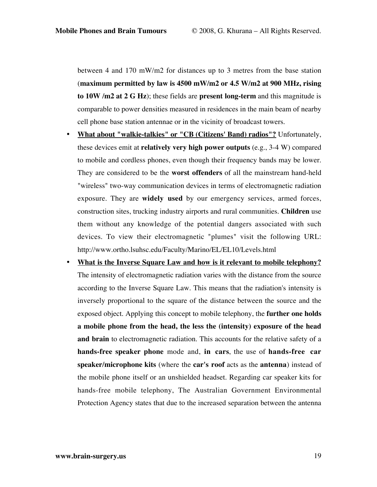between 4 and 170 mW/m2 for distances up to 3 metres from the base station (**maximum permitted by law is 4500 mW/m2 or 4.5 W/m2 at 900 MHz, rising to 10W /m2 at 2 G Hz**); these fields are **present long-term** and this magnitude is comparable to power densities measured in residences in the main beam of nearby cell phone base station antennae or in the vicinity of broadcast towers.

- **What about "walkie-talkies" or "CB (Citizens' Band) radios"?** Unfortunately, these devices emit at **relatively very high power outputs** (e.g., 3-4 W) compared to mobile and cordless phones, even though their frequency bands may be lower. They are considered to be the **worst offenders** of all the mainstream hand-held "wireless" two-way communication devices in terms of electromagnetic radiation exposure. They are **widely used** by our emergency services, armed forces, construction sites, trucking industry airports and rural communities. **Children** use them without any knowledge of the potential dangers associated with such devices. To view their electromagnetic "plumes" visit the following URL: http://www.ortho.lsuhsc.edu/Faculty/Marino/EL/EL10/Levels.html
- **What is the Inverse Square Law and how is it relevant to mobile telephony?** The intensity of electromagnetic radiation varies with the distance from the source according to the Inverse Square Law. This means that the radiation's intensity is inversely proportional to the square of the distance between the source and the exposed object. Applying this concept to mobile telephony, the **further one holds a mobile phone from the head, the less the (intensity) exposure of the head and brain** to electromagnetic radiation. This accounts for the relative safety of a **hands-free speaker phone** mode and, **in cars**, the use of **hands-free car speaker/microphone kits** (where the **car's roof** acts as the **antenna**) instead of the mobile phone itself or an unshielded headset. Regarding car speaker kits for hands-free mobile telephony, The Australian Government Environmental Protection Agency states that due to the increased separation between the antenna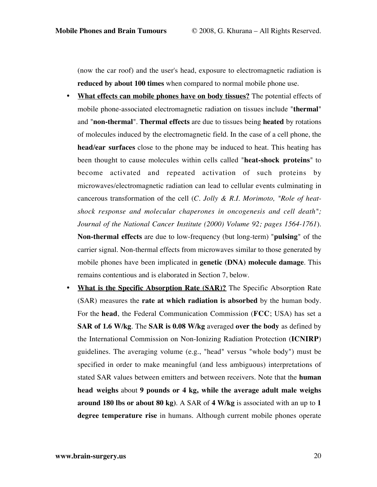(now the car roof) and the user's head, exposure to electromagnetic radiation is **reduced by about 100 times** when compared to normal mobile phone use.

- **What effects can mobile phones have on body tissues?** The potential effects of mobile phone-associated electromagnetic radiation on tissues include "**thermal**" and "**non-thermal**". **Thermal effects** are due to tissues being **heated** by rotations of molecules induced by the electromagnetic field. In the case of a cell phone, the **head/ear surfaces** close to the phone may be induced to heat. This heating has been thought to cause molecules within cells called "**heat-shock proteins**" to become activated and repeated activation of such proteins by microwaves/electromagnetic radiation can lead to cellular events culminating in cancerous transformation of the cell (*C. Jolly & R.I. Morimoto, "Role of heatshock response and molecular chaperones in oncogenesis and cell death"; Journal of the National Cancer Institute (2000) Volume 92; pages 1564-1761*). **Non-thermal effects** are due to low-frequency (but long-term) "**pulsing**" of the carrier signal. Non-thermal effects from microwaves similar to those generated by mobile phones have been implicated in **genetic (DNA) molecule damage**. This remains contentious and is elaborated in Section 7, below.
- **What is the Specific Absorption Rate (SAR)?** The Specific Absorption Rate (SAR) measures the **rate at which radiation is absorbed** by the human body. For the **head**, the Federal Communication Commission (**FCC**; USA) has set a **SAR of 1.6 W/kg**. The **SAR is 0.08 W/kg** averaged **over the body** as defined by the International Commission on Non-Ionizing Radiation Protection (**ICNIRP**) guidelines. The averaging volume (e.g., "head" versus "whole body") must be specified in order to make meaningful (and less ambiguous) interpretations of stated SAR values between emitters and between receivers. Note that the **human head weighs** about **9 pounds or 4 kg, while the average adult male weighs around 180 lbs or about 80 kg)**. A SAR of **4 W/kg** is associated with an up to **1 degree temperature rise** in humans. Although current mobile phones operate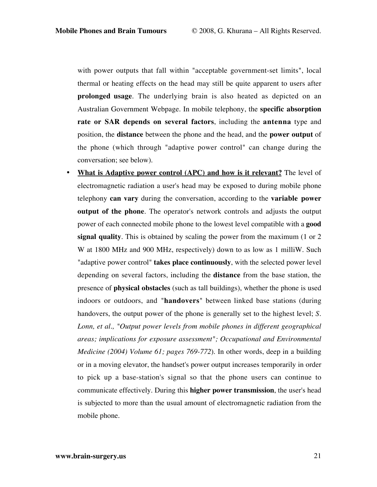with power outputs that fall within "acceptable government-set limits", local thermal or heating effects on the head may still be quite apparent to users after **prolonged usage**. The underlying brain is also heated as depicted on an Australian Government Webpage. In mobile telephony, the **specific absorption rate or SAR depends on several factors**, including the **antenna** type and position, the **distance** between the phone and the head, and the **power output** of the phone (which through "adaptive power control" can change during the conversation; see below).

• **What is Adaptive power control (APC) and how is it relevant?** The level of electromagnetic radiation a user's head may be exposed to during mobile phone telephony **can vary** during the conversation, according to the **variable power output of the phone**. The operator's network controls and adjusts the output power of each connected mobile phone to the lowest level compatible with a **good signal quality**. This is obtained by scaling the power from the maximum (1 or 2 W at 1800 MHz and 900 MHz, respectively) down to as low as 1 milliW. Such "adaptive power control" **takes place continuously**, with the selected power level depending on several factors, including the **distance** from the base station, the presence of **physical obstacles** (such as tall buildings), whether the phone is used indoors or outdoors, and "**handovers**" between linked base stations (during handovers, the output power of the phone is generally set to the highest level; *S. Lonn, et al., "Output power levels from mobile phones in different geographical areas; implications for exposure assessment"; Occupational and Environmental Medicine (2004) Volume 61; pages 769-772*). In other words, deep in a building or in a moving elevator, the handset's power output increases temporarily in order to pick up a base-station's signal so that the phone users can continue to communicate effectively. During this **higher power transmission**, the user's head is subjected to more than the usual amount of electromagnetic radiation from the mobile phone.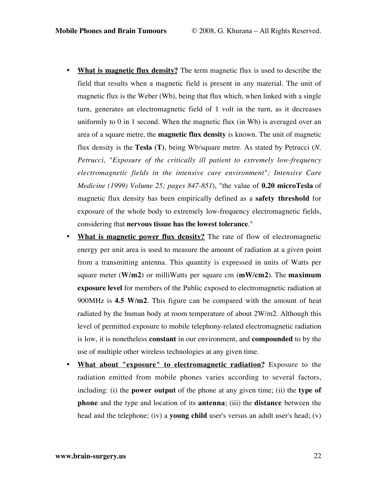- **What is magnetic flux density?** The term magnetic flux is used to describe the field that results when a magnetic field is present in any material. The unit of magnetic flux is the Weber (Wb), being that flux which, when linked with a single turn, generates an electromagnetic field of 1 volt in the turn, as it decreases uniformly to 0 in 1 second. When the magnetic flux (in Wb) is averaged over an area of a square metre, the **magnetic flux density** is known. The unit of magnetic flux density is the **Tesla (T)**, being Wb/square metre. As stated by Petrucci (*N. Petrucci, "Exposure of the critically ill patient to extremely low-frequency electromagnetic fields in the intensive care environment"; Intensive Care Medicine (1999) Volume 25; pages 847-851*), "the value of **0.20 microTesla** of magnetic flux density has been empirically defined as a **safety threshold** for exposure of the whole body to extremely low-frequency electromagnetic fields, considering that **nervous tissue has the lowest tolerance**."
- **What is magnetic power flux density?** The rate of flow of electromagnetic energy per unit area is used to measure the amount of radiation at a given point from a transmitting antenna. This quantity is expressed in units of Watts per square meter (**W/m2**) or milliWatts per square cm (**mW/cm2**). The **maximum exposure level** for members of the Public exposed to electromagnetic radiation at 900MHz is **4.5 W/m2**. This figure can be compared with the amount of heat radiated by the human body at room temperature of about 2W/m2. Although this level of permitted exposure to mobile telephony-related electromagnetic radiation is low, it is nonetheless **constant** in our environment, and **compounded** to by the use of multiple other wireless technologies at any given time.
- **What about "exposure" to electromagnetic radiation?** Exposure to the radiation emitted from mobile phones varies according to several factors, including: (i) the **power output** of the phone at any given time; (ii) the **type of phone** and the type and location of its **antenna**; (iii) the **distance** between the head and the telephone; (iv) a **young child** user's versus an adult user's head; (v)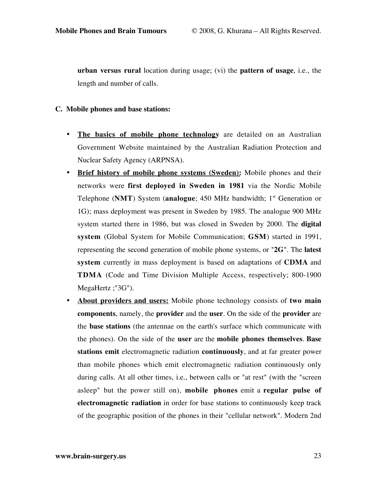**urban versus rural** location during usage; (vi) the **pattern of usage**, i.e., the length and number of calls.

### **C. Mobile phones and base stations:**

- **The basics of mobile phone technology** are detailed on an Australian Government Website maintained by the Australian Radiation Protection and Nuclear Safety Agency (ARPNSA).
- **Brief history of mobile phone systems (Sweden):** Mobile phones and their networks were **first deployed in Sweden in 1981** via the Nordic Mobile Telephone (**NMT**) System (**analogue**; 450 MHz bandwidth; 1<sup>st</sup> Generation or 1G); mass deployment was present in Sweden by 1985. The analogue 900 MHz system started there in 1986, but was closed in Sweden by 2000. The **digital system** (Global System for Mobile Communication; **GSM**) started in 1991, representing the second generation of mobile phone systems, or "**2G**". The **latest system** currently in mass deployment is based on adaptations of **CDMA** and **TDMA** (Code and Time Division Multiple Access, respectively; 800-1900 MegaHertz ;"3G").
- **About providers and users:** Mobile phone technology consists of **two main components**, namely, the **provider** and the **user**. On the side of the **provider** are the **base stations** (the antennae on the earth's surface which communicate with the phones). On the side of the **user** are the **mobile phones themselves**. **Base stations emit** electromagnetic radiation **continuously**, and at far greater power than mobile phones which emit electromagnetic radiation continuously only during calls. At all other times, i.e., between calls or "at rest" (with the "screen asleep" but the power still on), **mobile phones** emit a **regular pulse of electromagnetic radiation** in order for base stations to continuously keep track of the geographic position of the phones in their "cellular network". Modern 2nd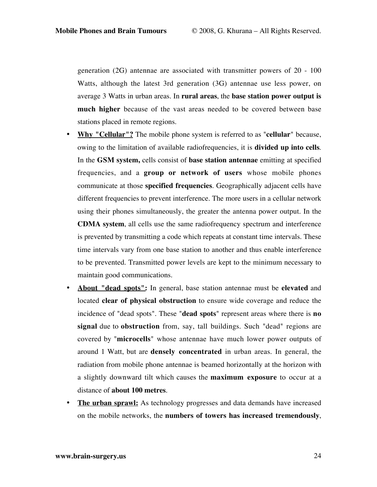generation (2G) antennae are associated with transmitter powers of 20 - 100 Watts, although the latest 3rd generation (3G) antennae use less power, on average 3 Watts in urban areas. In **rural areas**, the **base station power output is much higher** because of the vast areas needed to be covered between base stations placed in remote regions.

- **Why "Cellular"?** The mobile phone system is referred to as "**cellular**" because, owing to the limitation of available radiofrequencies, it is **divided up into cells**. In the **GSM system,** cells consist of **base station antennae** emitting at specified frequencies, and a **group or network of users** whose mobile phones communicate at those **specified frequencies**. Geographically adjacent cells have different frequencies to prevent interference. The more users in a cellular network using their phones simultaneously, the greater the antenna power output. In the **CDMA system**, all cells use the same radiofrequency spectrum and interference is prevented by transmitting a code which repeats at constant time intervals. These time intervals vary from one base station to another and thus enable interference to be prevented. Transmitted power levels are kept to the minimum necessary to maintain good communications.
- **About "dead spots":** In general, base station antennae must be **elevated** and located **clear of physical obstruction** to ensure wide coverage and reduce the incidence of "dead spots". These "**dead spots**" represent areas where there is **no signal** due to **obstruction** from, say, tall buildings. Such "dead" regions are covered by "**microcells**" whose antennae have much lower power outputs of around 1 Watt, but are **densely concentrated** in urban areas. In general, the radiation from mobile phone antennae is beamed horizontally at the horizon with a slightly downward tilt which causes the **maximum exposure** to occur at a distance of **about 100 metres**.
- **The urban sprawl:** As technology progresses and data demands have increased on the mobile networks, the **numbers of towers has increased tremendously**,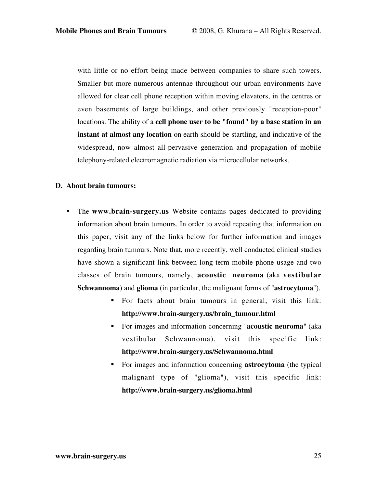with little or no effort being made between companies to share such towers. Smaller but more numerous antennae throughout our urban environments have allowed for clear cell phone reception within moving elevators, in the centres or even basements of large buildings, and other previously "reception-poor" locations. The ability of a **cell phone user to be "found" by a base station in an instant at almost any location** on earth should be startling, and indicative of the widespread, now almost all-pervasive generation and propagation of mobile telephony-related electromagnetic radiation via microcellular networks.

## **D. About brain tumours:**

- The **www.brain-surgery.us** Website contains pages dedicated to providing information about brain tumours. In order to avoid repeating that information on this paper, visit any of the links below for further information and images regarding brain tumours. Note that, more recently, well conducted clinical studies have shown a significant link between long-term mobile phone usage and two classes of brain tumours, namely, **acoustic neuroma** (aka **vestibular Schwannoma**) and **glioma** (in particular, the malignant forms of "**astrocytoma**").
	- For facts about brain tumours in general, visit this link: **http://www.brain-surgery.us/brain\_tumour.html**
	- For images and information concerning "**acoustic neuroma**" (aka vestibular Schwannoma), visit this specific link: **http://www.brain-surgery.us/Schwannoma.html**
	- For images and information concerning **astrocytoma** (the typical malignant type of "glioma"), visit this specific link: **http://www.brain-surgery.us/glioma.html**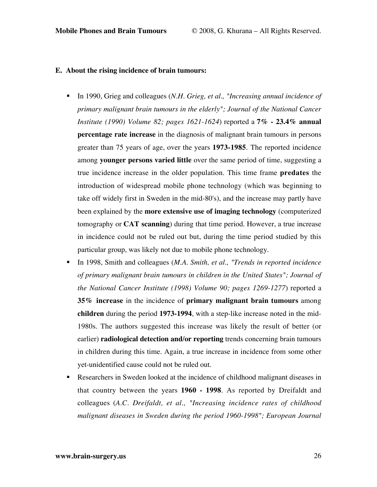#### **E. About the rising incidence of brain tumours:**

- In 1990, Grieg and colleagues (*N.H. Grieg, et al., "Increasing annual incidence of primary malignant brain tumours in the elderly"; Journal of the National Cancer Institute (1990) Volume 82; pages 1621-1624*) reported a **7% - 23.4% annual percentage rate increase** in the diagnosis of malignant brain tumours in persons greater than 75 years of age, over the years **1973-1985**. The reported incidence among **younger persons varied little** over the same period of time, suggesting a true incidence increase in the older population. This time frame **predates** the introduction of widespread mobile phone technology (which was beginning to take off widely first in Sweden in the mid-80's), and the increase may partly have been explained by the **more extensive use of imaging technology** (computerized tomography or **CAT scanning**) during that time period. However, a true increase in incidence could not be ruled out but, during the time period studied by this particular group, was likely not due to mobile phone technology.
- In 1998, Smith and colleagues (*M.A. Smith, et al., "Trends in reported incidence of primary malignant brain tumours in children in the United States"; Journal of the National Cancer Institute (1998) Volume 90; pages 1269-1277*) reported a **35% increase** in the incidence of **primary malignant brain tumours** among **children** during the period **1973-1994**, with a step-like increase noted in the mid-1980s. The authors suggested this increase was likely the result of better (or earlier) **radiological detection and/or reporting** trends concerning brain tumours in children during this time. Again, a true increase in incidence from some other yet-unidentified cause could not be ruled out.
- Researchers in Sweden looked at the incidence of childhood malignant diseases in that country between the years **1960 - 1998**. As reported by Dreifaldt and colleagues (*A.C. Dreifaldt, et al., "Increasing incidence rates of childhood malignant diseases in Sweden during the period 1960-1998"; European Journal*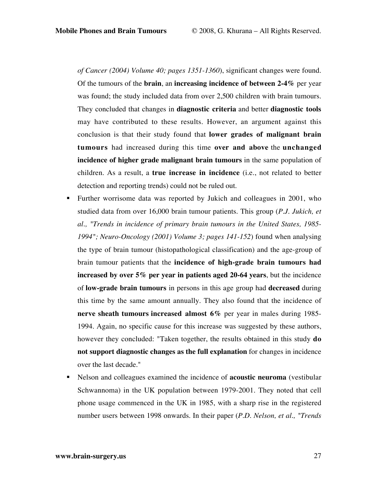*of Cancer (2004) Volume 40; pages 1351-1360*), significant changes were found. Of the tumours of the **brain**, an **increasing incidence of between 2-4%** per year was found; the study included data from over 2,500 children with brain tumours. They concluded that changes in **diagnostic criteria** and better **diagnostic tools** may have contributed to these results. However, an argument against this conclusion is that their study found that **lower grades of malignant brain tumours** had increased during this time **over and above** the **unchanged incidence of higher grade malignant brain tumours** in the same population of children. As a result, a **true increase in incidence** (i.e., not related to better detection and reporting trends) could not be ruled out.

- **Further worrisome data was reported by Jukich and colleagues in 2001, who** studied data from over 16,000 brain tumour patients. This group (*P.J. Jukich, et al., "Trends in incidence of primary brain tumours in the United States, 1985- 1994"; Neuro-Oncology (2001) Volume 3; pages 141-152*) found when analysing the type of brain tumour (histopathological classification) and the age-group of brain tumour patients that the **incidence of high-grade brain tumours had increased by over 5% per year in patients aged 20-64 years**, but the incidence of **low-grade brain tumours** in persons in this age group had **decreased** during this time by the same amount annually. They also found that the incidence of **nerve sheath tumours increased almost 6%** per year in males during 1985- 1994. Again, no specific cause for this increase was suggested by these authors, however they concluded: "Taken together, the results obtained in this study **do not support diagnostic changes as the full explanation** for changes in incidence over the last decade."
- Nelson and colleagues examined the incidence of **acoustic neuroma** (vestibular Schwannoma) in the UK population between 1979-2001. They noted that cell phone usage commenced in the UK in 1985, with a sharp rise in the registered number users between 1998 onwards. In their paper (*P.D. Nelson, et al., "Trends*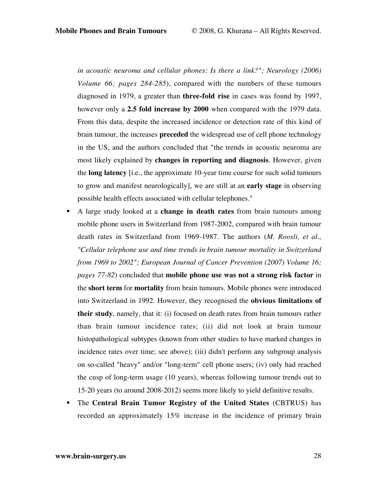*in acoustic neuroma and cellular phones: Is there a link?"; Neurology (2006) Volume 66; pages 284-285*), compared with the numbers of these tumours diagnosed in 1979, a greater than **three-fold rise** in cases was found by 1997, however only a **2.5 fold increase by 2000** when compared with the 1979 data. From this data, despite the increased incidence or detection rate of this kind of brain tumour, the increases **preceded** the widespread use of cell phone technology in the US, and the authors concluded that "the trends in acoustic neuroma are most likely explained by **changes in reporting and diagnosis**. However, given the **long latency** [i.e., the approximate 10-year time course for such solid tumours to grow and manifest neurologically], we are still at an **early stage** in observing possible health effects associated with cellular telephones."

- A large study looked at a **change in death rates** from brain tumours among mobile phone users in Switzerland from 1987-2002, compared with brain tumour death rates in Switzerland from 1969-1987. The authors (*M. Roosli, et al., "Cellular telephone use and time trends in brain tumour mortality in Switzerland from 1969 to 2002"; European Journal of Cancer Prevention (2007) Volume 16; pages 77-82*) concluded that **mobile phone use was not a strong risk factor** in the **short term** for **mortality** from brain tumours. Mobile phones were introduced into Switzerland in 1992. However, they recognised the **obvious limitations of their study**, namely, that it: (i) focused on death rates from brain tumours rather than brain tumour incidence rates; (ii) did not look at brain tumour histopathological subtypes (known from other studies to have marked changes in incidence rates over time; see above); (iii) didn't perform any subgroup analysis on so-called "heavy" and/or "long-term" cell phone users; (iv) only had reached the cusp of long-term usage (10 years), whereas following tumour trends out to 15-20 years (to around 2008-2012) seems more likely to yield definitive results.
- The **Central Brain Tumor Registry of the United States** (CBTRUS) has recorded an approximately 15% increase in the incidence of primary brain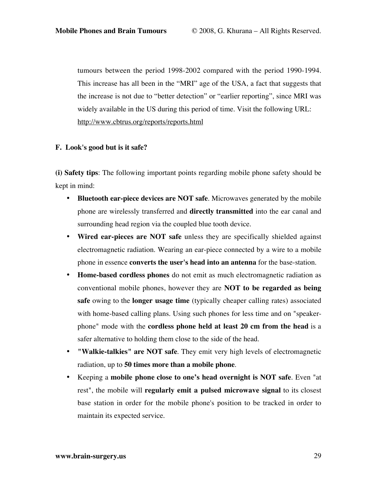tumours between the period 1998-2002 compared with the period 1990-1994. This increase has all been in the "MRI" age of the USA, a fact that suggests that the increase is not due to "better detection" or "earlier reporting", since MRI was widely available in the US during this period of time. Visit the following URL: http://www.cbtrus.org/reports/reports.html

#### **F. Look's good but is it safe?**

**(i) Safety tips**: The following important points regarding mobile phone safety should be kept in mind:

- **Bluetooth ear-piece devices are NOT safe**. Microwaves generated by the mobile phone are wirelessly transferred and **directly transmitted** into the ear canal and surrounding head region via the coupled blue tooth device.
- **Wired ear-pieces are NOT safe** unless they are specifically shielded against electromagnetic radiation. Wearing an ear-piece connected by a wire to a mobile phone in essence **converts the user's head into an antenna** for the base-station.
- **Home-based cordless phones** do not emit as much electromagnetic radiation as conventional mobile phones, however they are **NOT to be regarded as being safe** owing to the **longer usage time** (typically cheaper calling rates) associated with home-based calling plans. Using such phones for less time and on "speakerphone" mode with the **cordless phone held at least 20 cm from the head** is a safer alternative to holding them close to the side of the head.
- **"Walkie-talkies" are NOT safe**. They emit very high levels of electromagnetic radiation, up to **50 times more than a mobile phone**.
- Keeping a **mobile phone close to one's head overnight is NOT safe**. Even "at rest", the mobile will **regularly emit a pulsed microwave signal** to its closest base station in order for the mobile phone's position to be tracked in order to maintain its expected service.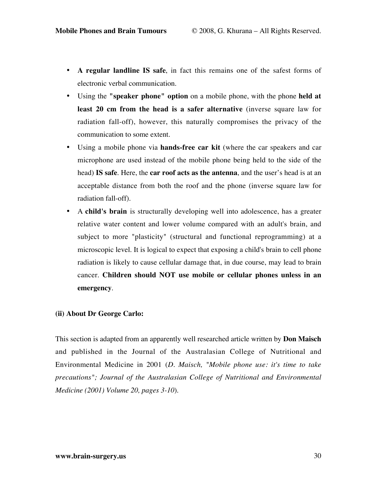- **A regular landline IS safe**, in fact this remains one of the safest forms of electronic verbal communication.
- Using the **"speaker phone" option** on a mobile phone, with the phone **held at least 20 cm from the head is a safer alternative** (inverse square law for radiation fall-off), however, this naturally compromises the privacy of the communication to some extent.
- Using a mobile phone via **hands-free car kit** (where the car speakers and car microphone are used instead of the mobile phone being held to the side of the head) **IS safe**. Here, the **car roof acts as the antenna**, and the user's head is at an acceptable distance from both the roof and the phone (inverse square law for radiation fall-off).
- A **child's brain** is structurally developing well into adolescence, has a greater relative water content and lower volume compared with an adult's brain, and subject to more "plasticity" (structural and functional reprogramming) at a microscopic level. It is logical to expect that exposing a child's brain to cell phone radiation is likely to cause cellular damage that, in due course, may lead to brain cancer. **Children should NOT use mobile or cellular phones unless in an emergency**.

## **(ii) About Dr George Carlo:**

This section is adapted from an apparently well researched article written by **Don Maisch** and published in the Journal of the Australasian College of Nutritional and Environmental Medicine in 2001 (*D. Maisch, "Mobile phone use: it's time to take precautions"; Journal of the Australasian College of Nutritional and Environmental Medicine (2001) Volume 20, pages 3-10*).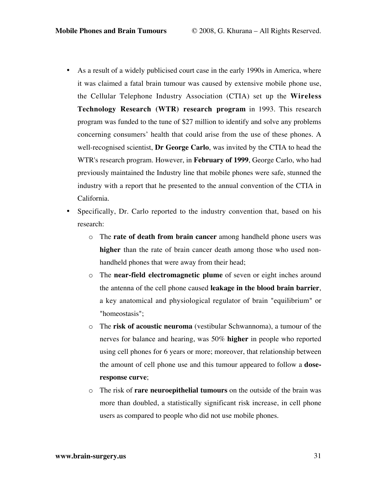- As a result of a widely publicised court case in the early 1990s in America, where it was claimed a fatal brain tumour was caused by extensive mobile phone use, the Cellular Telephone Industry Association (CTIA) set up the **Wireless Technology Research (WTR) research program** in 1993. This research program was funded to the tune of \$27 million to identify and solve any problems concerning consumers' health that could arise from the use of these phones. A well-recognised scientist, **Dr George Carlo**, was invited by the CTIA to head the WTR's research program. However, in **February of 1999**, George Carlo, who had previously maintained the Industry line that mobile phones were safe, stunned the industry with a report that he presented to the annual convention of the CTIA in California.
- Specifically, Dr. Carlo reported to the industry convention that, based on his research:
	- o The **rate of death from brain cancer** among handheld phone users was **higher** than the rate of brain cancer death among those who used nonhandheld phones that were away from their head;
	- o The **near-field electromagnetic plume** of seven or eight inches around the antenna of the cell phone caused **leakage in the blood brain barrier**, a key anatomical and physiological regulator of brain "equilibrium" or "homeostasis";
	- o The **risk of acoustic neuroma** (vestibular Schwannoma), a tumour of the nerves for balance and hearing, was 50% **higher** in people who reported using cell phones for 6 years or more; moreover, that relationship between the amount of cell phone use and this tumour appeared to follow a **doseresponse curve**;
	- o The risk of **rare neuroepithelial tumours** on the outside of the brain was more than doubled, a statistically significant risk increase, in cell phone users as compared to people who did not use mobile phones.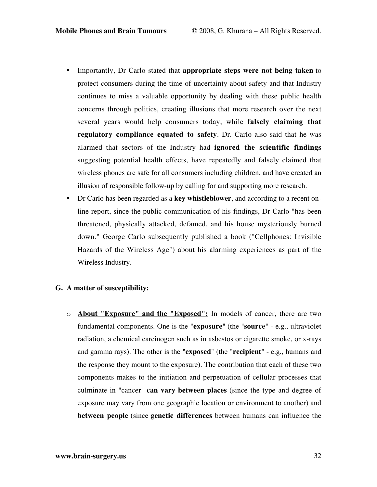- Importantly, Dr Carlo stated that **appropriate steps were not being taken** to protect consumers during the time of uncertainty about safety and that Industry continues to miss a valuable opportunity by dealing with these public health concerns through politics, creating illusions that more research over the next several years would help consumers today, while **falsely claiming that regulatory compliance equated to safety**. Dr. Carlo also said that he was alarmed that sectors of the Industry had **ignored the scientific findings** suggesting potential health effects, have repeatedly and falsely claimed that wireless phones are safe for all consumers including children, and have created an illusion of responsible follow-up by calling for and supporting more research.
- Dr Carlo has been regarded as a **key whistleblower**, and according to a recent online report, since the public communication of his findings, Dr Carlo "has been threatened, physically attacked, defamed, and his house mysteriously burned down." George Carlo subsequently published a book ("Cellphones: Invisible Hazards of the Wireless Age") about his alarming experiences as part of the Wireless Industry.

## **G. A matter of susceptibility:**

o **About "Exposure" and the "Exposed":** In models of cancer, there are two fundamental components. One is the "**exposure**" (the "**source**" - e.g., ultraviolet radiation, a chemical carcinogen such as in asbestos or cigarette smoke, or x-rays and gamma rays). The other is the "**exposed**" (the "**recipient**" - e.g., humans and the response they mount to the exposure). The contribution that each of these two components makes to the initiation and perpetuation of cellular processes that culminate in "cancer" **can vary between places** (since the type and degree of exposure may vary from one geographic location or environment to another) and **between people** (since **genetic differences** between humans can influence the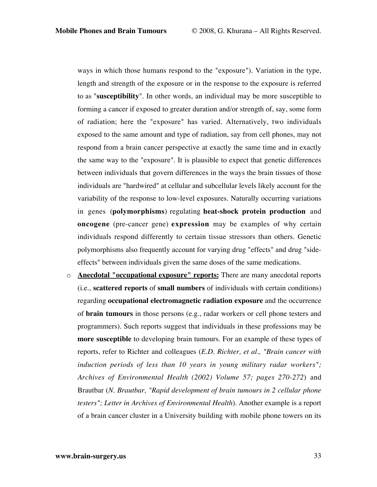ways in which those humans respond to the "exposure"). Variation in the type, length and strength of the exposure or in the response to the exposure is referred to as "**susceptibility**". In other words, an individual may be more susceptible to forming a cancer if exposed to greater duration and/or strength of, say, some form of radiation; here the "exposure" has varied. Alternatively, two individuals exposed to the same amount and type of radiation, say from cell phones, may not respond from a brain cancer perspective at exactly the same time and in exactly the same way to the "exposure". It is plausible to expect that genetic differences between individuals that govern differences in the ways the brain tissues of those individuals are "hardwired" at cellular and subcellular levels likely account for the variability of the response to low-level exposures. Naturally occurring variations in genes (**polymorphisms**) regulating **heat-shock protein production** and **oncogene** (pre-cancer gene) **expression** may be examples of why certain individuals respond differently to certain tissue stressors than others. Genetic polymorphisms also frequently account for varying drug "effects" and drug "sideeffects" between individuals given the same doses of the same medications.

o **Anecdotal "occupational exposure" reports:** There are many anecdotal reports (i.e., **scattered reports** of **small numbers** of individuals with certain conditions) regarding **occupational electromagnetic radiation exposure** and the occurrence of **brain tumours** in those persons (e.g., radar workers or cell phone testers and programmers). Such reports suggest that individuals in these professions may be **more susceptible** to developing brain tumours. For an example of these types of reports, refer to Richter and colleagues (*E.D. Richter, et al., "Brain cancer with induction periods of less than 10 years in young military radar workers"; Archives of Environmental Health (2002) Volume 57; pages 270-272*) and Brautbar (*N. Brautbar, "Rapid development of brain tumours in 2 cellular phone testers"; Letter in Archives of Environmental Health*). Another example is a report of a brain cancer cluster in a University building with mobile phone towers on its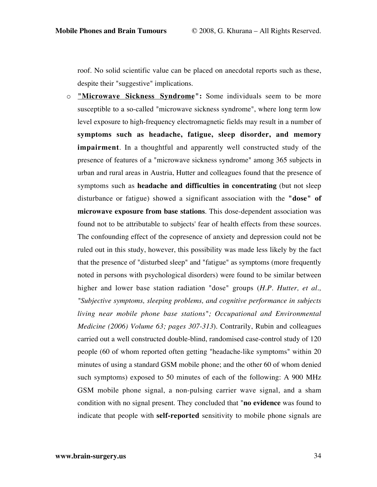roof. No solid scientific value can be placed on anecdotal reports such as these, despite their "suggestive" implications.

o **"Microwave Sickness Syndrome":** Some individuals seem to be more susceptible to a so-called "microwave sickness syndrome", where long term low level exposure to high-frequency electromagnetic fields may result in a number of **symptoms such as headache, fatigue, sleep disorder, and memory impairment**. In a thoughtful and apparently well constructed study of the presence of features of a "microwave sickness syndrome" among 365 subjects in urban and rural areas in Austria, Hutter and colleagues found that the presence of symptoms such as **headache and difficulties in concentrating** (but not sleep disturbance or fatigue) showed a significant association with the **"dose" of microwave exposure from base stations**. This dose-dependent association was found not to be attributable to subjects' fear of health effects from these sources. The confounding effect of the copresence of anxiety and depression could not be ruled out in this study, however, this possibility was made less likely by the fact that the presence of "disturbed sleep" and "fatigue" as symptoms (more frequently noted in persons with psychological disorders) were found to be similar between higher and lower base station radiation "dose" groups (*H.P. Hutter, et al., "Subjective symptoms, sleeping problems, and cognitive performance in subjects living near mobile phone base stations"; Occupational and Environmental Medicine (2006) Volume 63; pages 307-313*). Contrarily, Rubin and colleagues carried out a well constructed double-blind, randomised case-control study of 120 people (60 of whom reported often getting "headache-like symptoms" within 20 minutes of using a standard GSM mobile phone; and the other 60 of whom denied such symptoms) exposed to 50 minutes of each of the following: A 900 MHz GSM mobile phone signal, a non-pulsing carrier wave signal, and a sham condition with no signal present. They concluded that "**no evidence** was found to indicate that people with **self-reported** sensitivity to mobile phone signals are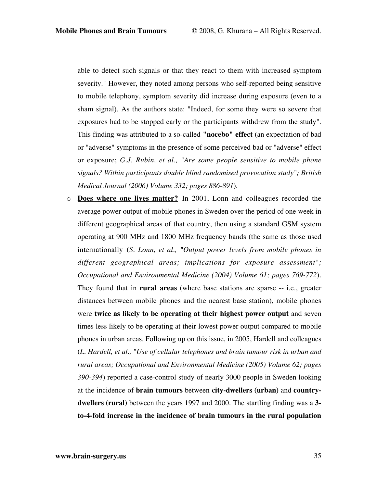able to detect such signals or that they react to them with increased symptom severity." However, they noted among persons who self-reported being sensitive to mobile telephony, symptom severity did increase during exposure (even to a sham signal). As the authors state: "Indeed, for some they were so severe that exposures had to be stopped early or the participants withdrew from the study". This finding was attributed to a so-called **"nocebo" effect** (an expectation of bad or "adverse" symptoms in the presence of some perceived bad or "adverse" effect or exposure; *G.J. Rubin, et al., "Are some people sensitive to mobile phone signals? Within participants double blind randomised provocation study"; British Medical Journal (2006) Volume 332; pages 886-891*).

o **Does where one lives matter?** In 2001, Lonn and colleagues recorded the average power output of mobile phones in Sweden over the period of one week in different geographical areas of that country, then using a standard GSM system operating at 900 MHz and 1800 MHz frequency bands (the same as those used internationally (*S. Lonn, et al., "Output power levels from mobile phones in different geographical areas; implications for exposure assessment"; Occupational and Environmental Medicine (2004) Volume 61; pages 769-772*). They found that in **rural areas** (where base stations are sparse -- i.e., greater distances between mobile phones and the nearest base station), mobile phones were **twice as likely to be operating at their highest power output** and seven times less likely to be operating at their lowest power output compared to mobile phones in urban areas. Following up on this issue, in 2005, Hardell and colleagues (*L. Hardell, et al., "Use of cellular telephones and brain tumour risk in urban and rural areas; Occupational and Environmental Medicine (2005) Volume 62; pages 390-394*) reported a case-control study of nearly 3000 people in Sweden looking at the incidence of **brain tumours** between **city-dwellers (urban)** and **countrydwellers (rural)** between the years 1997 and 2000. The startling finding was a **3 to-4-fold increase in the incidence of brain tumours in the rural population**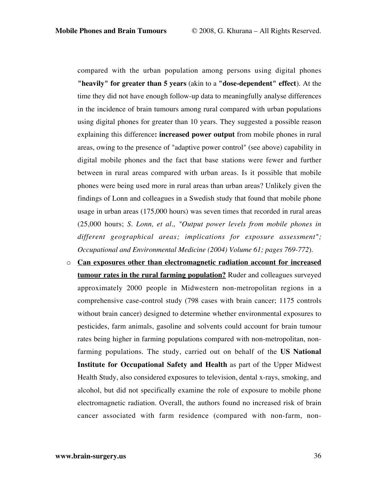compared with the urban population among persons using digital phones **"heavily" for greater than 5 years** (akin to a **"dose-dependent" effect**). At the time they did not have enough follow-up data to meaningfully analyse differences in the incidence of brain tumours among rural compared with urban populations using digital phones for greater than 10 years. They suggested a possible reason explaining this difference**: increased power output** from mobile phones in rural areas, owing to the presence of "adaptive power control" (see above) capability in digital mobile phones and the fact that base stations were fewer and further between in rural areas compared with urban areas. Is it possible that mobile phones were being used more in rural areas than urban areas? Unlikely given the findings of Lonn and colleagues in a Swedish study that found that mobile phone usage in urban areas (175,000 hours) was seven times that recorded in rural areas (25,000 hours; *S. Lonn, et al., "Output power levels from mobile phones in different geographical areas; implications for exposure assessment"; Occupational and Environmental Medicine (2004) Volume 61; pages 769-772*).

o **Can exposures other than electromagnetic radiation account for increased tumour rates in the rural farming population?** Ruder and colleagues surveyed approximately 2000 people in Midwestern non-metropolitan regions in a comprehensive case-control study (798 cases with brain cancer; 1175 controls without brain cancer) designed to determine whether environmental exposures to pesticides, farm animals, gasoline and solvents could account for brain tumour rates being higher in farming populations compared with non-metropolitan, nonfarming populations. The study, carried out on behalf of the **US National Institute for Occupational Safety and Health** as part of the Upper Midwest Health Study, also considered exposures to television, dental x-rays, smoking, and alcohol, but did not specifically examine the role of exposure to mobile phone electromagnetic radiation. Overall, the authors found no increased risk of brain cancer associated with farm residence (compared with non-farm, non-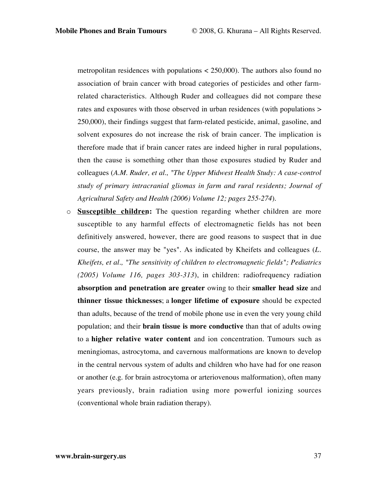metropolitan residences with populations  $\langle 250,000 \rangle$ . The authors also found no association of brain cancer with broad categories of pesticides and other farmrelated characteristics. Although Ruder and colleagues did not compare these rates and exposures with those observed in urban residences (with populations > 250,000), their findings suggest that farm-related pesticide, animal, gasoline, and solvent exposures do not increase the risk of brain cancer. The implication is therefore made that if brain cancer rates are indeed higher in rural populations, then the cause is something other than those exposures studied by Ruder and colleagues (*A.M. Ruder, et al., "The Upper Midwest Health Study: A case-control study of primary intracranial gliomas in farm and rural residents; Journal of Agricultural Safety and Health (2006) Volume 12; pages 255-274*).

o **Susceptible children:** The question regarding whether children are more susceptible to any harmful effects of electromagnetic fields has not been definitively answered, however, there are good reasons to suspect that in due course, the answer may be "yes". As indicated by Kheifets and colleagues (*L. Kheifets, et al., "The sensitivity of children to electromagnetic fields"; Pediatrics (2005) Volume 116, pages 303-313*), in children: radiofrequency radiation **absorption and penetration are greater** owing to their **smaller head size** and **thinner tissue thicknesses**; a **longer lifetime of exposure** should be expected than adults, because of the trend of mobile phone use in even the very young child population; and their **brain tissue is more conductive** than that of adults owing to a **higher relative water content** and ion concentration. Tumours such as meningiomas, astrocytoma, and cavernous malformations are known to develop in the central nervous system of adults and children who have had for one reason or another (e.g. for brain astrocytoma or arteriovenous malformation), often many years previously, brain radiation using more powerful ionizing sources (conventional whole brain radiation therapy).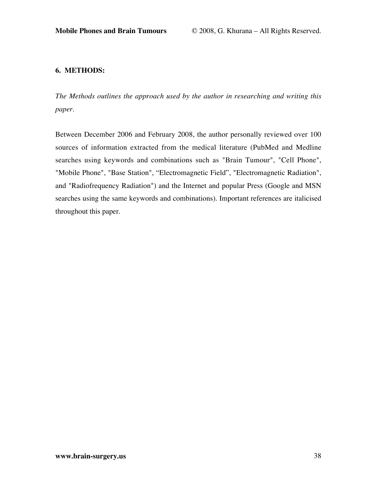## **6. METHODS:**

*The Methods outlines the approach used by the author in researching and writing this paper.*

Between December 2006 and February 2008, the author personally reviewed over 100 sources of information extracted from the medical literature (PubMed and Medline searches using keywords and combinations such as "Brain Tumour", "Cell Phone", "Mobile Phone", "Base Station", "Electromagnetic Field", "Electromagnetic Radiation", and "Radiofrequency Radiation") and the Internet and popular Press (Google and MSN searches using the same keywords and combinations). Important references are italicised throughout this paper.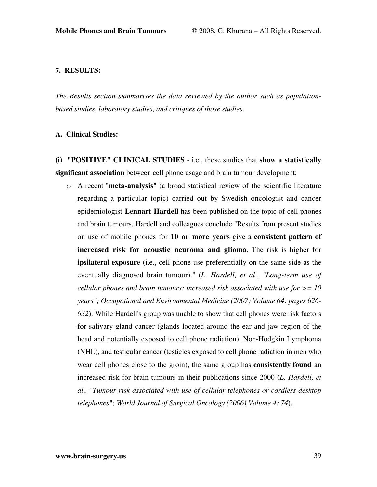## **7. RESULTS:**

*The Results section summarises the data reviewed by the author such as populationbased studies, laboratory studies, and critiques of those studies.*

#### **A. Clinical Studies:**

**(i) "POSITIVE" CLINICAL STUDIES** - i.e., those studies that **show a statistically significant association** between cell phone usage and brain tumour development:

o A recent "**meta-analysis**" (a broad statistical review of the scientific literature regarding a particular topic) carried out by Swedish oncologist and cancer epidemiologist **Lennart Hardell** has been published on the topic of cell phones and brain tumours. Hardell and colleagues conclude "Results from present studies on use of mobile phones for **10 or more years** give a **consistent pattern of increased risk for acoustic neuroma and glioma**. The risk is higher for **ipsilateral exposure** (i.e., cell phone use preferentially on the same side as the eventually diagnosed brain tumour)." (*L. Hardell, et al., "Long-term use of cellular phones and brain tumours: increased risk associated with use for >= 10 years"; Occupational and Environmental Medicine (2007) Volume 64: pages 626- 632*). While Hardell's group was unable to show that cell phones were risk factors for salivary gland cancer (glands located around the ear and jaw region of the head and potentially exposed to cell phone radiation), Non-Hodgkin Lymphoma (NHL), and testicular cancer (testicles exposed to cell phone radiation in men who wear cell phones close to the groin), the same group has **consistently found** an increased risk for brain tumours in their publications since 2000 (*L. Hardell, et al., "Tumour risk associated with use of cellular telephones or cordless desktop telephones"; World Journal of Surgical Oncology (2006) Volume 4: 74*).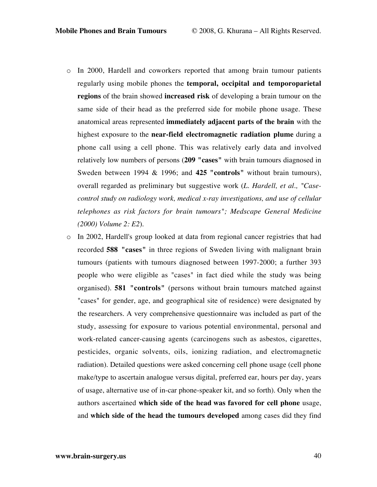- o In 2000, Hardell and coworkers reported that among brain tumour patients regularly using mobile phones the **temporal, occipital and temporoparietal regions** of the brain showed **increased risk** of developing a brain tumour on the same side of their head as the preferred side for mobile phone usage. These anatomical areas represented **immediately adjacent parts of the brain** with the highest exposure to the **near-field electromagnetic radiation plume** during a phone call using a cell phone. This was relatively early data and involved relatively low numbers of persons (**209 "cases"** with brain tumours diagnosed in Sweden between 1994 & 1996; and **425 "controls"** without brain tumours), overall regarded as preliminary but suggestive work (*L. Hardell, et al., "Casecontrol study on radiology work, medical x-ray investigations, and use of cellular telephones as risk factors for brain tumours"; Medscape General Medicine (2000) Volume 2: E2*).
- o In 2002, Hardell's group looked at data from regional cancer registries that had recorded **588 "cases"** in three regions of Sweden living with malignant brain tumours (patients with tumours diagnosed between 1997-2000; a further 393 people who were eligible as "cases" in fact died while the study was being organised). **581 "controls"** (persons without brain tumours matched against "cases" for gender, age, and geographical site of residence) were designated by the researchers. A very comprehensive questionnaire was included as part of the study, assessing for exposure to various potential environmental, personal and work-related cancer-causing agents (carcinogens such as asbestos, cigarettes, pesticides, organic solvents, oils, ionizing radiation, and electromagnetic radiation). Detailed questions were asked concerning cell phone usage (cell phone make/type to ascertain analogue versus digital, preferred ear, hours per day, years of usage, alternative use of in-car phone-speaker kit, and so forth). Only when the authors ascertained **which side of the head was favored for cell phone** usage, and **which side of the head the tumours developed** among cases did they find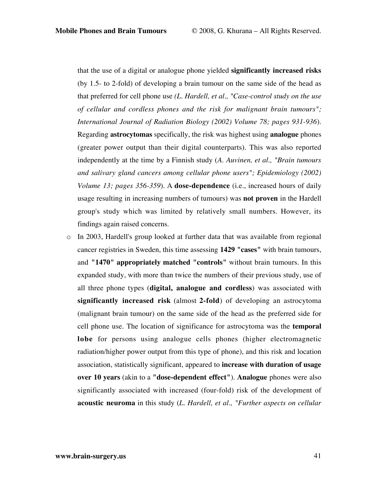that the use of a digital or analogue phone yielded **significantly increased risks** (by 1.5- to 2-fold) of developing a brain tumour on the same side of the head as that preferred for cell phone use *(L. Hardell, et al., "Case-control study on the use of cellular and cordless phones and the risk for malignant brain tumours"; International Journal of Radiation Biology (2002) Volume 78; pages 931-936*). Regarding **astrocytomas** specifically, the risk was highest using **analogue** phones (greater power output than their digital counterparts). This was also reported independently at the time by a Finnish study (*A. Auvinen, et al., "Brain tumours and salivary gland cancers among cellular phone users"; Epidemiology (2002) Volume 13; pages 356-359*). A **dose-dependence** (i.e., increased hours of daily usage resulting in increasing numbers of tumours) was **not proven** in the Hardell group's study which was limited by relatively small numbers. However, its findings again raised concerns.

 $\circ$  In 2003, Hardell's group looked at further data that was available from regional cancer registries in Sweden, this time assessing **1429 "cases"** with brain tumours, and **"1470" appropriately matched "controls"** without brain tumours. In this expanded study, with more than twice the numbers of their previous study, use of all three phone types (**digital, analogue and cordless**) was associated with **significantly increased risk** (almost **2-fold**) of developing an astrocytoma (malignant brain tumour) on the same side of the head as the preferred side for cell phone use. The location of significance for astrocytoma was the **temporal lobe** for persons using analogue cells phones (higher electromagnetic radiation/higher power output from this type of phone), and this risk and location association, statistically significant, appeared to **increase with duration of usage over 10 years** (akin to a **"dose-dependent effect"**). **Analogue** phones were also significantly associated with increased (four-fold) risk of the development of **acoustic neuroma** in this study (*L. Hardell, et al., "Further aspects on cellular*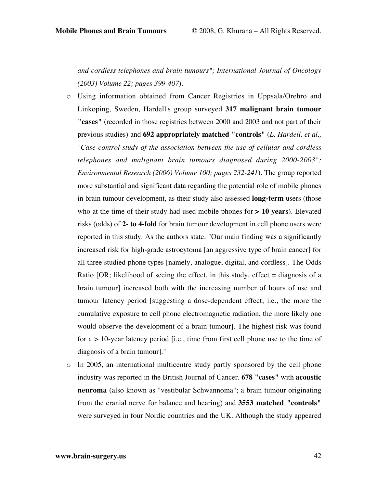*and cordless telephones and brain tumours"; International Journal of Oncology (2003) Volume 22; pages 399-407*).

- o Using information obtained from Cancer Registries in Uppsala/Orebro and Linkoping, Sweden, Hardell's group surveyed **317 malignant brain tumour "cases"** (recorded in those registries between 2000 and 2003 and not part of their previous studies) and **692 appropriately matched "controls"** (*L. Hardell, et al., "Case-control study of the association between the use of cellular and cordless telephones and malignant brain tumours diagnosed during 2000-2003"; Environmental Research (2006) Volume 100; pages 232-241*). The group reported more substantial and significant data regarding the potential role of mobile phones in brain tumour development, as their study also assessed **long-term** users (those who at the time of their study had used mobile phones for **> 10 years**). Elevated risks (odds) of **2- to 4-fold** for brain tumour development in cell phone users were reported in this study. As the authors state: "Our main finding was a significantly increased risk for high-grade astrocytoma [an aggressive type of brain cancer] for all three studied phone types [namely, analogue, digital, and cordless]. The Odds Ratio  $[OR; likelihood of seeing the effect, in this study, effect = diagnosis of a$ brain tumour] increased both with the increasing number of hours of use and tumour latency period [suggesting a dose-dependent effect; i.e., the more the cumulative exposure to cell phone electromagnetic radiation, the more likely one would observe the development of a brain tumour]. The highest risk was found for  $a > 10$ -year latency period [i.e., time from first cell phone use to the time of diagnosis of a brain tumour]."
- o In 2005, an international multicentre study partly sponsored by the cell phone industry was reported in the British Journal of Cancer. **678 "cases"** with **acoustic neuroma** (also known as "vestibular Schwannoma"; a brain tumour originating from the cranial nerve for balance and hearing) and **3553 matched "controls"** were surveyed in four Nordic countries and the UK. Although the study appeared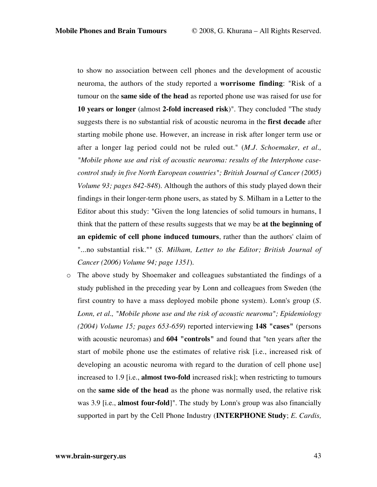to show no association between cell phones and the development of acoustic neuroma, the authors of the study reported a **worrisome finding**: "Risk of a tumour on the **same side of the head** as reported phone use was raised for use for **10 years or longer** (almost **2-fold increased risk**)". They concluded "The study suggests there is no substantial risk of acoustic neuroma in the **first decade** after starting mobile phone use. However, an increase in risk after longer term use or after a longer lag period could not be ruled out." (*M.J. Schoemaker, et al., "Mobile phone use and risk of acoustic neuroma: results of the Interphone casecontrol study in five North European countries"; British Journal of Cancer (2005) Volume 93; pages 842-848*). Although the authors of this study played down their findings in their longer-term phone users, as stated by S. Milham in a Letter to the Editor about this study: "Given the long latencies of solid tumours in humans, I think that the pattern of these results suggests that we may be **at the beginning of an epidemic of cell phone induced tumours**, rather than the authors' claim of "...no substantial risk."" (*S. Milham, Letter to the Editor; British Journal of Cancer (2006) Volume 94; page 1351*).

o The above study by Shoemaker and colleagues substantiated the findings of a study published in the preceding year by Lonn and colleagues from Sweden (the first country to have a mass deployed mobile phone system). Lonn's group (*S. Lonn, et al., "Mobile phone use and the risk of acoustic neuroma"; Epidemiology (2004) Volume 15; pages 653-659*) reported interviewing **148 "cases"** (persons with acoustic neuromas) and **604 "controls"** and found that "ten years after the start of mobile phone use the estimates of relative risk [i.e., increased risk of developing an acoustic neuroma with regard to the duration of cell phone use] increased to 1.9 [i.e., **almost two-fold** increased risk]; when restricting to tumours on the **same side of the head** as the phone was normally used, the relative risk was 3.9 [i.e., **almost four-fold**]". The study by Lonn's group was also financially supported in part by the Cell Phone Industry (**INTERPHONE Study**; *E. Cardis,*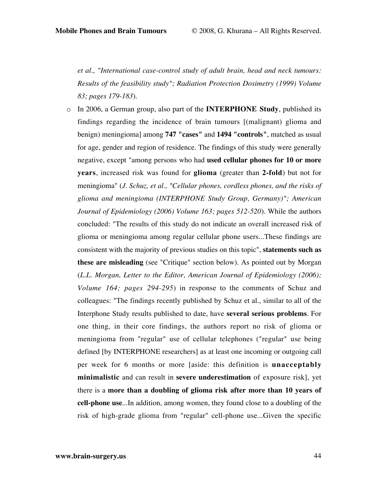*et al., "International case-control study of adult brain, head and neck tumours: Results of the feasibility study"; Radiation Protection Dosimetry (1999) Volume 83; pages 179-183*).

o In 2006, a German group, also part of the **INTERPHONE Study**, published its findings regarding the incidence of brain tumours [(malignant) glioma and benign) meningioma] among **747 "cases"** and **1494 "controls"**, matched as usual for age, gender and region of residence. The findings of this study were generally negative, except "among persons who had **used cellular phones for 10 or more years**, increased risk was found for **glioma** (greater than **2-fold**) but not for meningioma" (*J. Schuz, et al., "Cellular phones, cordless phones, and the risks of glioma and meningioma (INTERPHONE Study Group, Germany)"; American Journal of Epidemiology (2006) Volume 163; pages 512-520*). While the authors concluded: "The results of this study do not indicate an overall increased risk of glioma or meningioma among regular cellular phone users...These findings are consistent with the majority of previous studies on this topic", **statements such as these are misleading** (see "Critique" section below). As pointed out by Morgan (*L.L. Morgan, Letter to the Editor, American Journal of Epidemiology (2006); Volume 164; pages 294-295*) in response to the comments of Schuz and colleagues: "The findings recently published by Schuz et al., similar to all of the Interphone Study results published to date, have **several serious problems**. For one thing, in their core findings, the authors report no risk of glioma or meningioma from "regular" use of cellular telephones ("regular" use being defined [by INTERPHONE researchers] as at least one incoming or outgoing call per week for 6 months or more [aside: this definition is **unacceptably minimalistic** and can result in **severe underestimation** of exposure risk], yet there is a **more than a doubling of glioma risk after more than 10 years of cell-phone use**...In addition, among women, they found close to a doubling of the risk of high-grade glioma from "regular" cell-phone use...Given the specific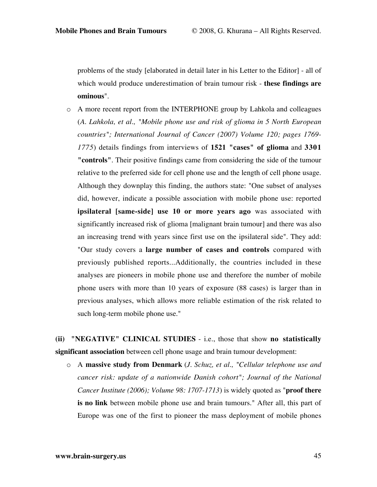problems of the study [elaborated in detail later in his Letter to the Editor] - all of which would produce underestimation of brain tumour risk - **these findings are ominous**".

o A more recent report from the INTERPHONE group by Lahkola and colleagues (*A. Lahkola, et al., "Mobile phone use and risk of glioma in 5 North European countries"; International Journal of Cancer (2007) Volume 120; pages 1769- 1775*) details findings from interviews of **1521 "cases" of glioma** and **3301 "controls"**. Their positive findings came from considering the side of the tumour relative to the preferred side for cell phone use and the length of cell phone usage. Although they downplay this finding, the authors state: "One subset of analyses did, however, indicate a possible association with mobile phone use: reported **ipsilateral [same-side] use 10 or more years ago** was associated with significantly increased risk of glioma [malignant brain tumour] and there was also an increasing trend with years since first use on the ipsilateral side". They add: "Our study covers a **large number of cases and controls** compared with previously published reports...Additionally, the countries included in these analyses are pioneers in mobile phone use and therefore the number of mobile phone users with more than 10 years of exposure (88 cases) is larger than in previous analyses, which allows more reliable estimation of the risk related to such long-term mobile phone use."

**(ii) "NEGATIVE" CLINICAL STUDIES** - i.e., those that show **no statistically significant association** between cell phone usage and brain tumour development:

o A **massive study from Denmark** (*J. Schuz, et al., "Cellular telephone use and cancer risk: update of a nationwide Danish cohort"; Journal of the National Cancer Institute (2006); Volume 98: 1707-1713*) is widely quoted as "**proof there is no link** between mobile phone use and brain tumours." After all, this part of Europe was one of the first to pioneer the mass deployment of mobile phones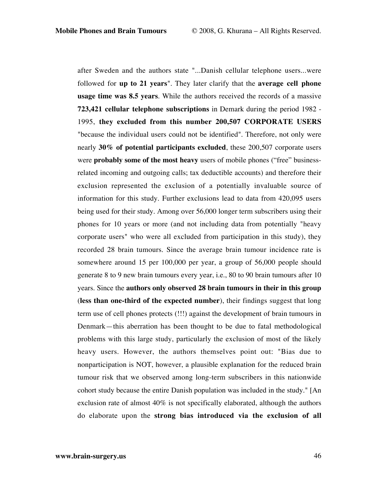after Sweden and the authors state "...Danish cellular telephone users...were followed for **up to 21 years**". They later clarify that the **average cell phone usage time was 8.5 years**. While the authors received the records of a massive **723,421 cellular telephone subscriptions** in Demark during the period 1982 - 1995, **they excluded from this number 200,507 CORPORATE USERS** "because the individual users could not be identified". Therefore, not only were nearly **30% of potential participants excluded**, these 200,507 corporate users were **probably some of the most heavy** users of mobile phones ("free" businessrelated incoming and outgoing calls; tax deductible accounts) and therefore their exclusion represented the exclusion of a potentially invaluable source of information for this study. Further exclusions lead to data from 420,095 users being used for their study. Among over 56,000 longer term subscribers using their phones for 10 years or more (and not including data from potentially "heavy corporate users" who were all excluded from participation in this study), they recorded 28 brain tumours. Since the average brain tumour incidence rate is somewhere around 15 per 100,000 per year, a group of 56,000 people should generate 8 to 9 new brain tumours every year, i.e., 80 to 90 brain tumours after 10 years. Since the **authors only observed 28 brain tumours in their in this group** (**less than one-third of the expected number**), their findings suggest that long term use of cell phones protects (!!!) against the development of brain tumours in Denmark—this aberration has been thought to be due to fatal methodological problems with this large study, particularly the exclusion of most of the likely heavy users. However, the authors themselves point out: "Bias due to nonparticipation is NOT, however, a plausible explanation for the reduced brain tumour risk that we observed among long-term subscribers in this nationwide cohort study because the entire Danish population was included in the study." [An exclusion rate of almost 40% is not specifically elaborated, although the authors do elaborate upon the **strong bias introduced via the exclusion of all**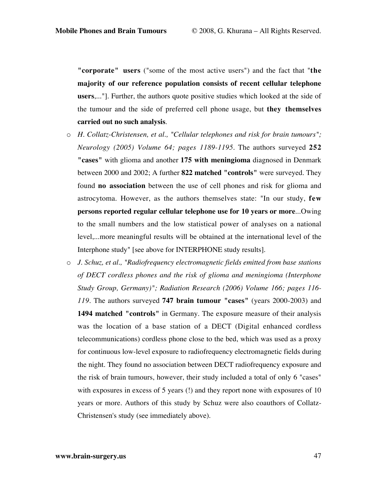**"corporate" users** ("some of the most active users") and the fact that "**the majority of our reference population consists of recent cellular telephone users**,..."]. Further, the authors quote positive studies which looked at the side of the tumour and the side of preferred cell phone usage, but **they themselves carried out no such analysis**.

- o *H. Collatz-Christensen, et al., "Cellular telephones and risk for brain tumours"; Neurology (2005) Volume 64; pages 1189-1195*. The authors surveyed **252 "cases"** with glioma and another **175 with meningioma** diagnosed in Denmark between 2000 and 2002; A further **822 matched "controls"** were surveyed. They found **no association** between the use of cell phones and risk for glioma and astrocytoma. However, as the authors themselves state: "In our study, **few persons reported regular cellular telephone use for 10 years or more**...Owing to the small numbers and the low statistical power of analyses on a national level,...more meaningful results will be obtained at the international level of the Interphone study" [see above for INTERPHONE study results].
- o *J. Schuz, et al., "Radiofrequency electromagnetic fields emitted from base stations of DECT cordless phones and the risk of glioma and meningioma (Interphone Study Group, Germany)"; Radiation Research (2006) Volume 166; pages 116- 119*. The authors surveyed **747 brain tumour "cases"** (years 2000-2003) and **1494 matched "controls"** in Germany. The exposure measure of their analysis was the location of a base station of a DECT (Digital enhanced cordless telecommunications) cordless phone close to the bed, which was used as a proxy for continuous low-level exposure to radiofrequency electromagnetic fields during the night. They found no association between DECT radiofrequency exposure and the risk of brain tumours, however, their study included a total of only 6 "cases" with exposures in excess of 5 years (!) and they report none with exposures of 10 years or more. Authors of this study by Schuz were also coauthors of Collatz-Christensen's study (see immediately above).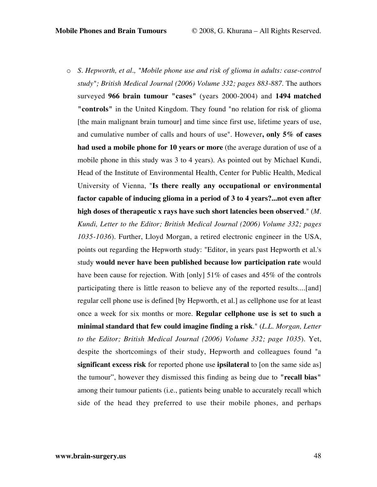o *S. Hepworth, et al., "Mobile phone use and risk of glioma in adults: case-control study"; British Medical Journal (2006) Volume 332; pages 883-887*. The authors surveyed **966 brain tumour "cases"** (years 2000-2004) and **1494 matched "controls"** in the United Kingdom. They found "no relation for risk of glioma [the main malignant brain tumour] and time since first use, lifetime years of use, and cumulative number of calls and hours of use". However**, only 5% of cases had used a mobile phone for 10 years or more** (the average duration of use of a mobile phone in this study was 3 to 4 years). As pointed out by Michael Kundi, Head of the Institute of Environmental Health, Center for Public Health, Medical University of Vienna, "**Is there really any occupational or environmental factor capable of inducing glioma in a period of 3 to 4 years?...not even after high doses of therapeutic x rays have such short latencies been observed**." (*M. Kundi, Letter to the Editor; British Medical Journal (2006) Volume 332; pages 1035-1036*). Further, Lloyd Morgan, a retired electronic engineer in the USA, points out regarding the Hepworth study: "Editor, in years past Hepworth et al.'s study **would never have been published because low participation rate** would have been cause for rejection. With [only] 51% of cases and 45% of the controls participating there is little reason to believe any of the reported results....[and] regular cell phone use is defined [by Hepworth, et al.] as cellphone use for at least once a week for six months or more. **Regular cellphone use is set to such a minimal standard that few could imagine finding a risk**." (*L.L. Morgan, Letter to the Editor; British Medical Journal (2006) Volume 332; page 1035*). Yet, despite the shortcomings of their study, Hepworth and colleagues found "a **significant excess risk** for reported phone use **ipsilateral** to [on the same side as] the tumour", however they dismissed this finding as being due to **"recall bias"** among their tumour patients (i.e., patients being unable to accurately recall which side of the head they preferred to use their mobile phones, and perhaps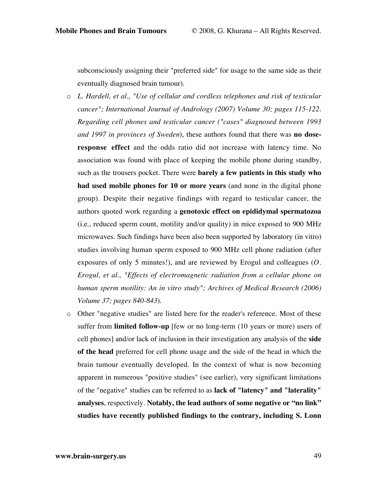subconsciously assigning their "preferred side" for usage to the same side as their eventually diagnosed brain tumour).

- o *L. Hardell, et al., "Use of cellular and cordless telephones and risk of testicular cancer"; International Journal of Andrology (2007) Volume 30; pages 115-122. Regarding cell phones and testicular cancer ("cases" diagnosed between 1993 and 1997 in provinces of Sweden*), these authors found that there was **no doseresponse effect** and the odds ratio did not increase with latency time. No association was found with place of keeping the mobile phone during standby, such as the trousers pocket. There were **barely a few patients in this study who had used mobile phones for 10 or more years** (and none in the digital phone group). Despite their negative findings with regard to testicular cancer, the authors quoted work regarding a **genotoxic effect on epididymal spermatozoa** (i.e., reduced sperm count, motility and/or quality) in mice exposed to 900 MHz microwaves. Such findings have been also been supported by laboratory (in vitro) studies involving human sperm exposed to 900 MHz cell phone radiation (after exposures of only 5 minutes!), and are reviewed by Erogul and colleagues (*O. Erogul, et al., "Effects of electromagnetic radiation from a cellular phone on human sperm motility: An in vitro study"; Archives of Medical Research (2006) Volume 37; pages 840-843*).
- o Other "negative studies" are listed here for the reader's reference. Most of these suffer from **limited follow-up** [few or no long-term (10 years or more) users of cell phones] and/or lack of inclusion in their investigation any analysis of the **side of the head** preferred for cell phone usage and the side of the head in which the brain tumour eventually developed. In the context of what is now becoming apparent in numerous "positive studies" (see earlier), very significant limitations of the "negative" studies can be referred to as **lack of "latency" and "laterality" analyses**, respectively. **Notably, the lead authors of some negative or "no link" studies have recently published findings to the contrary, including S. Lonn**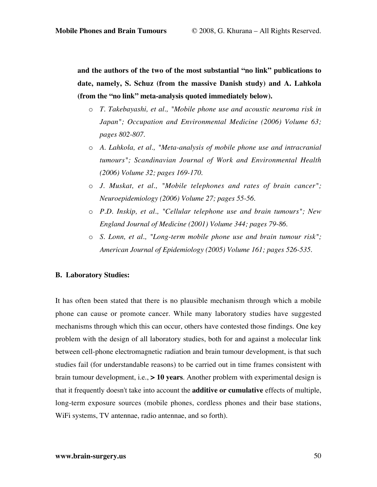**and the authors of the two of the most substantial "no link" publications to date, namely, S. Schuz (from the massive Danish study) and A. Lahkola (from the "no link" meta-analysis quoted immediately below).**

- o *T. Takebayashi, et al., "Mobile phone use and acoustic neuroma risk in Japan"; Occupation and Environmental Medicine (2006) Volume 63; pages 802-807*.
- o *A. Lahkola, et al., "Meta-analysis of mobile phone use and intracranial tumours"; Scandinavian Journal of Work and Environmental Health (2006) Volume 32; pages 169-170*.
- o *J. Muskat, et al., "Mobile telephones and rates of brain cancer"; Neuroepidemiology (2006) Volume 27; pages 55-56*.
- o *P.D. Inskip, et al., "Cellular telephone use and brain tumours"; New England Journal of Medicine (2001) Volume 344; pages 79-86*.
- o *S. Lonn, et al., "Long-term mobile phone use and brain tumour risk"; American Journal of Epidemiology (2005) Volume 161; pages 526-535*.

### **B. Laboratory Studies:**

It has often been stated that there is no plausible mechanism through which a mobile phone can cause or promote cancer. While many laboratory studies have suggested mechanisms through which this can occur, others have contested those findings. One key problem with the design of all laboratory studies, both for and against a molecular link between cell-phone electromagnetic radiation and brain tumour development, is that such studies fail (for understandable reasons) to be carried out in time frames consistent with brain tumour development, i.e., **> 10 years**. Another problem with experimental design is that it frequently doesn't take into account the **additive or cumulative** effects of multiple, long-term exposure sources (mobile phones, cordless phones and their base stations, WiFi systems, TV antennae, radio antennae, and so forth).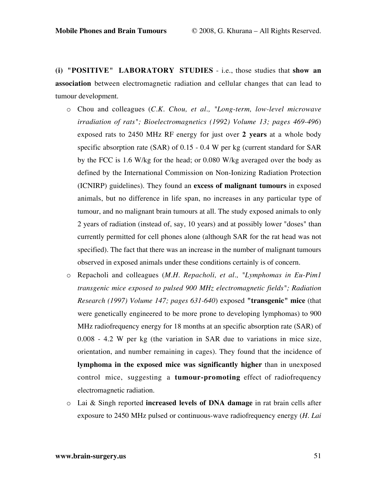**(i) "POSITIVE" LABORATORY STUDIES** - i.e., those studies that **show an association** between electromagnetic radiation and cellular changes that can lead to tumour development.

- o Chou and colleagues (*C.K. Chou, et al., "Long-term, low-level microwave irradiation of rats"; Bioelectromagnetics (1992) Volume 13; pages 469-496*) exposed rats to 2450 MHz RF energy for just over **2 years** at a whole body specific absorption rate (SAR) of 0.15 - 0.4 W per kg (current standard for SAR by the FCC is 1.6 W/kg for the head; or 0.080 W/kg averaged over the body as defined by the International Commission on Non-Ionizing Radiation Protection (ICNIRP) guidelines). They found an **excess of malignant tumours** in exposed animals, but no difference in life span, no increases in any particular type of tumour, and no malignant brain tumours at all. The study exposed animals to only 2 years of radiation (instead of, say, 10 years) and at possibly lower "doses" than currently permitted for cell phones alone (although SAR for the rat head was not specified). The fact that there was an increase in the number of malignant tumours observed in exposed animals under these conditions certainly is of concern.
- o Repacholi and colleagues (*M.H. Repacholi, et al., "Lymphomas in Eu-Pim1 transgenic mice exposed to pulsed 900 MHz electromagnetic fields"; Radiation Research (1997) Volume 147; pages 631-640*) exposed **"transgenic" mice** (that were genetically engineered to be more prone to developing lymphomas) to 900 MHz radiofrequency energy for 18 months at an specific absorption rate (SAR) of 0.008 - 4.2 W per kg (the variation in SAR due to variations in mice size, orientation, and number remaining in cages). They found that the incidence of **lymphoma in the exposed mice was significantly higher** than in unexposed control mice, suggesting a **tumour-promoting** effect of radiofrequency electromagnetic radiation.
- o Lai & Singh reported **increased levels of DNA damage** in rat brain cells after exposure to 2450 MHz pulsed or continuous-wave radiofrequency energy (*H. Lai*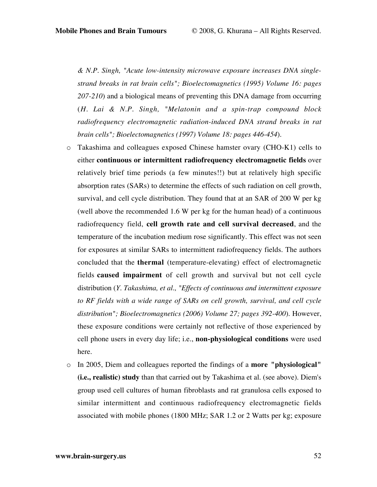*& N.P. Singh, "Acute low-intensity microwave exposure increases DNA singlestrand breaks in rat brain cells"; Bioelectomagnetics (1995) Volume 16: pages 207-210*) and a biological means of preventing this DNA damage from occurring (*H. Lai & N.P. Singh, "Melatonin and a spin-trap compound block radiofrequency electromagnetic radiation-induced DNA strand breaks in rat brain cells"; Bioelectomagnetics (1997) Volume 18: pages 446-454*).

- o Takashima and colleagues exposed Chinese hamster ovary (CHO-K1) cells to either **continuous or intermittent radiofrequency electromagnetic fields** over relatively brief time periods (a few minutes!!) but at relatively high specific absorption rates (SARs) to determine the effects of such radiation on cell growth, survival, and cell cycle distribution. They found that at an SAR of 200 W per kg (well above the recommended 1.6 W per kg for the human head) of a continuous radiofrequency field, **cell growth rate and cell survival decreased**, and the temperature of the incubation medium rose significantly. This effect was not seen for exposures at similar SARs to intermittent radiofrequency fields. The authors concluded that the **thermal** (temperature-elevating) effect of electromagnetic fields **caused impairment** of cell growth and survival but not cell cycle distribution (*Y. Takashima, et al., "Effects of continuous and intermittent exposure to RF fields with a wide range of SARs on cell growth, survival, and cell cycle distribution"; Bioelectromagnetics (2006) Volume 27; pages 392-400*). However, these exposure conditions were certainly not reflective of those experienced by cell phone users in every day life; i.e., **non-physiological conditions** were used here.
- o In 2005, Diem and colleagues reported the findings of a **more "physiological" (i.e., realistic) study** than that carried out by Takashima et al. (see above). Diem's group used cell cultures of human fibroblasts and rat granulosa cells exposed to similar intermittent and continuous radiofrequency electromagnetic fields associated with mobile phones (1800 MHz; SAR 1.2 or 2 Watts per kg; exposure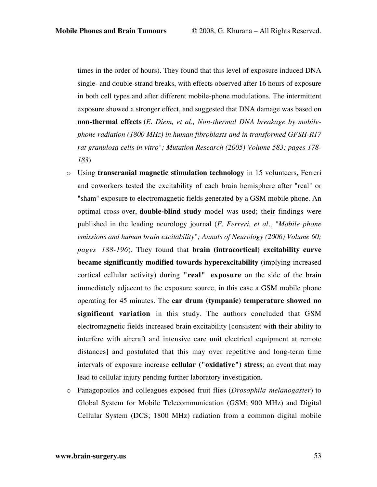times in the order of hours). They found that this level of exposure induced DNA single- and double-strand breaks, with effects observed after 16 hours of exposure in both cell types and after different mobile-phone modulations. The intermittent exposure showed a stronger effect, and suggested that DNA damage was based on **non-thermal effects** (*E. Diem, et al., Non-thermal DNA breakage by mobilephone radiation (1800 MHz) in human fibroblasts and in transformed GFSH-R17 rat granulosa cells in vitro"; Mutation Research (2005) Volume 583; pages 178- 183*).

- o Using **transcranial magnetic stimulation technology** in 15 volunteers, Ferreri and coworkers tested the excitability of each brain hemisphere after "real" or "sham" exposure to electromagnetic fields generated by a GSM mobile phone. An optimal cross-over, **double-blind study** model was used; their findings were published in the leading neurology journal (*F. Ferreri, et al., "Mobile phone emissions and human brain excitability"; Annals of Neurology (2006) Volume 60; pages 188-196*). They found that **brain (intracortical) excitability curve became significantly modified towards hyperexcitability** (implying increased cortical cellular activity) during **"real" exposure** on the side of the brain immediately adjacent to the exposure source, in this case a GSM mobile phone operating for 45 minutes. The **ear drum (tympanic) temperature showed no significant variation** in this study. The authors concluded that GSM electromagnetic fields increased brain excitability [consistent with their ability to interfere with aircraft and intensive care unit electrical equipment at remote distances] and postulated that this may over repetitive and long-term time intervals of exposure increase **cellular ("oxidative") stress**; an event that may lead to cellular injury pending further laboratory investigation.
- o Panagopoulos and colleagues exposed fruit flies (*Drosophila melanogaster*) to Global System for Mobile Telecommunication (GSM; 900 MHz) and Digital Cellular System (DCS; 1800 MHz) radiation from a common digital mobile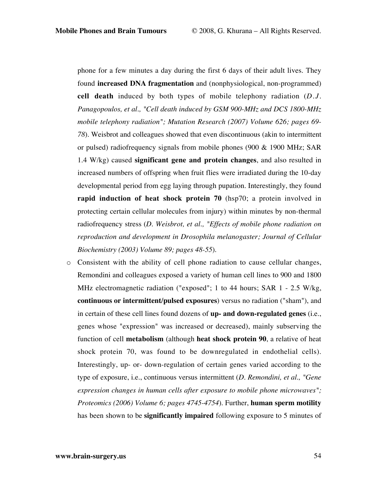phone for a few minutes a day during the first 6 days of their adult lives. They found **increased DNA fragmentation** and (nonphysiological, non-programmed) **cell death** induced by both types of mobile telephony radiation (*D.J. Panagopoulos, et al., "Cell death induced by GSM 900-MHz and DCS 1800-MHz mobile telephony radiation"; Mutation Research (2007) Volume 626; pages 69- 78*). Weisbrot and colleagues showed that even discontinuous (akin to intermittent or pulsed) radiofrequency signals from mobile phones (900  $\&$  1900 MHz; SAR 1.4 W/kg) caused **significant gene and protein changes**, and also resulted in increased numbers of offspring when fruit flies were irradiated during the 10-day developmental period from egg laying through pupation. Interestingly, they found **rapid induction of heat shock protein 70** (hsp70; a protein involved in protecting certain cellular molecules from injury) within minutes by non-thermal radiofrequency stress (*D. Weisbrot, et al., "Effects of mobile phone radiation on reproduction and development in Drosophila melanogaster; Journal of Cellular Biochemistry (2003) Volume 89; pages 48-55*).

o Consistent with the ability of cell phone radiation to cause cellular changes, Remondini and colleagues exposed a variety of human cell lines to 900 and 1800 MHz electromagnetic radiation ("exposed"; 1 to 44 hours; SAR 1 - 2.5 W/kg, **continuous or intermittent/pulsed exposures**) versus no radiation ("sham"), and in certain of these cell lines found dozens of **up- and down-regulated genes** (i.e., genes whose "expression" was increased or decreased), mainly subserving the function of cell **metabolism** (although **heat shock protein 90**, a relative of heat shock protein 70, was found to be downregulated in endothelial cells). Interestingly, up- or- down-regulation of certain genes varied according to the type of exposure, i.e., continuous versus intermittent (*D. Remondini, et al., "Gene expression changes in human cells after exposure to mobile phone microwaves"; Proteomics (2006) Volume 6; pages 4745-4754*). Further, **human sperm motility** has been shown to be **significantly impaired** following exposure to 5 minutes of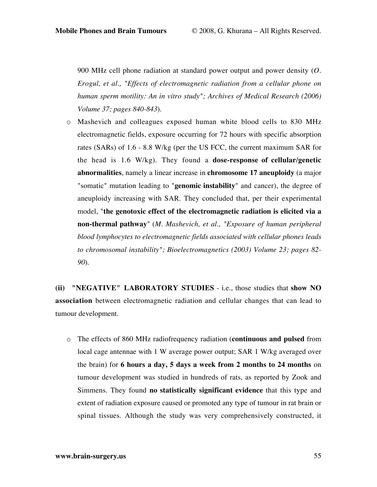900 MHz cell phone radiation at standard power output and power density (*O. Erogul, et al., "Effects of electromagnetic radiation from a cellular phone on human sperm motility: An in vitro study"; Archives of Medical Research (2006) Volume 37; pages 840-843*).

o Mashevich and colleagues exposed human white blood cells to 830 MHz electromagnetic fields, exposure occurring for 72 hours with specific absorption rates (SARs) of 1.6 - 8.8 W/kg (per the US FCC, the current maximum SAR for the head is 1.6 W/kg). They found a **dose-response of cellular/genetic abnormalities**, namely a linear increase in **chromosome 17 aneuploidy** (a major "somatic" mutation leading to "**genomic instability**" and cancer), the degree of aneuploidy increasing with SAR. They concluded that, per their experimental model, "**the genotoxic effect of the electromagnetic radiation is elicited via a non-thermal pathway**" (*M. Mashevich, et al., "Exposure of human peripheral blood lymphocytes to electromagnetic fields associated with cellular phones leads to chromosomal instability"; Bioelectromagnetics (2003) Volume 23; pages 82- 90*).

**(ii) "NEGATIVE" LABORATORY STUDIES** - i.e., those studies that **show NO association** between electromagnetic radiation and cellular changes that can lead to tumour development.

o The effects of 860 MHz radiofrequency radiation (**continuous and pulsed** from local cage antennae with 1 W average power output; SAR 1 W/kg averaged over the brain) for **6 hours a day, 5 days a week from 2 months to 24 months** on tumour development was studied in hundreds of rats, as reported by Zook and Simmens. They found **no statistically significant evidence** that this type and extent of radiation exposure caused or promoted any type of tumour in rat brain or spinal tissues. Although the study was very comprehensively constructed, it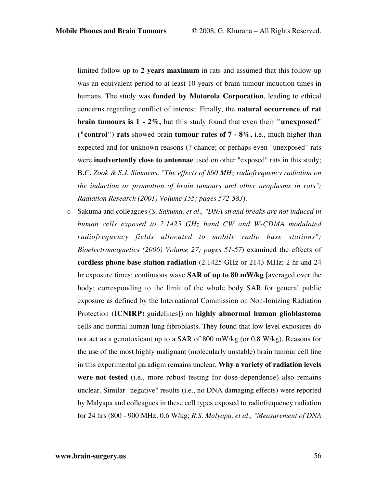limited follow up to **2 years maximum** in rats and assumed that this follow-up was an equivalent period to at least 10 years of brain tumour induction times in humans. The study was **funded by Motorola Corporation**, leading to ethical concerns regarding conflict of interest. Finally, the **natural occurrence of rat brain tumours is 1 - 2%,** but this study found that even their **"unexposed" ("control") rats** showed brain **tumour rates of 7 - 8%,** i.e., much higher than expected and for unknown reasons (? chance; or perhaps even "unexposed" rats were **inadvertently close to antennae** used on other "exposed" rats in this study; B*.C. Zook & S.J. Simmens, "The effects of 860 MHz radiofrequency radiation on the induction or promotion of brain tumours and other neoplasms in rats"; Radiation Research (2001) Volume 155; pages 572-583*).

o Sakuma and colleagues (*S. Sakuma, et al., "DNA strand breaks are not induced in human cells exposed to 2.1425 GHz band CW and W-CDMA modulated radiofrequency fields allocated to mobile radio base stations"; Bioelectromagnetics (2006) Volume 27; pages 51-57*) examined the effects of **cordless phone base station radiation** (2.1425 GHz or 2143 MHz; 2 hr and 24 hr exposure times; continuous wave **SAR of up to 80 mW/kg** [averaged over the body; corresponding to the limit of the whole body SAR for general public exposure as defined by the International Commission on Non-Ionizing Radiation Protection (**ICNIRP**) guidelines]) on **highly abnormal human glioblastoma** cells and normal human lung fibroblasts. They found that low level exposures do not act as a genotoxicant up to a SAR of 800 mW/kg (or 0.8 W/kg). Reasons for the use of the most highly malignant (molecularly unstable) brain tumour cell line in this experimental paradigm remains unclear. **Why a variety of radiation levels were not tested** (i.e., more robust testing for dose-dependence) also remains unclear. Similar "negative" results (i.e., no DNA damaging effects) were reported by Malyapa and colleagues in these cell types exposed to radiofrequency radiation for 24 hrs (800 - 900 MHz; 0.6 W/kg; *R.S. Malyapa, et al., "Measurement of DNA*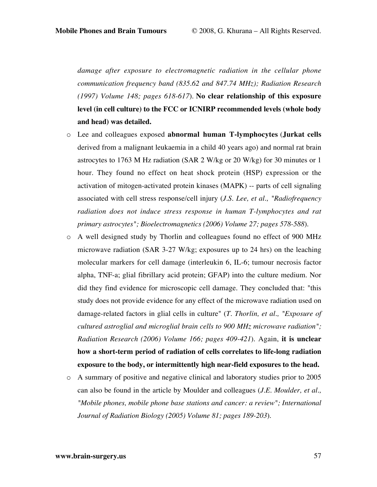*damage after exposure to electromagnetic radiation in the cellular phone communication frequency band (835.62 and 847.74 MHz); Radiation Research (1997) Volume 148; pages 618-617*). **No clear relationship of this exposure level (in cell culture) to the FCC or ICNIRP recommended levels (whole body and head) was detailed.**

- o Lee and colleagues exposed **abnormal human T-lymphocytes** (**Jurkat cells** derived from a malignant leukaemia in a child 40 years ago) and normal rat brain astrocytes to 1763 M Hz radiation (SAR 2 W/kg or 20 W/kg) for 30 minutes or 1 hour. They found no effect on heat shock protein (HSP) expression or the activation of mitogen-activated protein kinases (MAPK) -- parts of cell signaling associated with cell stress response/cell injury (*J.S. Lee, et al., "Radiofrequency radiation does not induce stress response in human T-lymphocytes and rat primary astrocytes"; Bioelectromagnetics (2006) Volume 27; pages 578-588*).
- o A well designed study by Thorlin and colleagues found no effect of 900 MHz microwave radiation (SAR 3-27 W/kg; exposures up to 24 hrs) on the leaching molecular markers for cell damage (interleukin 6, IL-6; tumour necrosis factor alpha, TNF-a; glial fibrillary acid protein; GFAP) into the culture medium. Nor did they find evidence for microscopic cell damage. They concluded that: "this study does not provide evidence for any effect of the microwave radiation used on damage-related factors in glial cells in culture" (*T. Thorlin, et al., "Exposure of cultured astroglial and microglial brain cells to 900 MHz microwave radiation"; Radiation Research (2006) Volume 166; pages 409-421*). Again, **it is unclear how a short-term period of radiation of cells correlates to life-long radiation exposure to the body, or intermittently high near-field exposures to the head.**
- o A summary of positive and negative clinical and laboratory studies prior to 2005 can also be found in the article by Moulder and colleagues (*J.E. Moulder, et al., "Mobile phones, mobile phone base stations and cancer: a review"; International Journal of Radiation Biology (2005) Volume 81; pages 189-203*).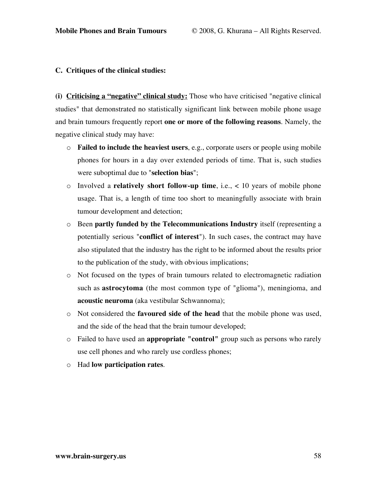#### **C. Critiques of the clinical studies:**

**(i) Criticising a "negative" clinical study:** Those who have criticised "negative clinical studies" that demonstrated no statistically significant link between mobile phone usage and brain tumours frequently report **one or more of the following reasons**. Namely, the negative clinical study may have:

- o **Failed to include the heaviest users**, e.g., corporate users or people using mobile phones for hours in a day over extended periods of time. That is, such studies were suboptimal due to "**selection bias**";
- o Involved a **relatively short follow-up time**, i.e., < 10 years of mobile phone usage. That is, a length of time too short to meaningfully associate with brain tumour development and detection;
- o Been **partly funded by the Telecommunications Industry** itself (representing a potentially serious "**conflict of interest**"). In such cases, the contract may have also stipulated that the industry has the right to be informed about the results prior to the publication of the study, with obvious implications;
- o Not focused on the types of brain tumours related to electromagnetic radiation such as **astrocytoma** (the most common type of "glioma"), meningioma, and **acoustic neuroma** (aka vestibular Schwannoma);
- o Not considered the **favoured side of the head** that the mobile phone was used, and the side of the head that the brain tumour developed;
- o Failed to have used an **appropriate "control"** group such as persons who rarely use cell phones and who rarely use cordless phones;
- o Had **low participation rates**.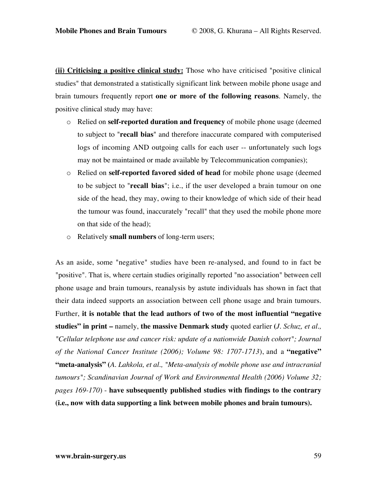**(ii) Criticising a positive clinical study:** Those who have criticised "positive clinical studies" that demonstrated a statistically significant link between mobile phone usage and brain tumours frequently report **one or more of the following reasons**. Namely, the positive clinical study may have:

- o Relied on **self-reported duration and frequency** of mobile phone usage (deemed to subject to "**recall bias**" and therefore inaccurate compared with computerised logs of incoming AND outgoing calls for each user -- unfortunately such logs may not be maintained or made available by Telecommunication companies);
- o Relied on **self-reported favored sided of head** for mobile phone usage (deemed to be subject to "**recall bias**"; i.e., if the user developed a brain tumour on one side of the head, they may, owing to their knowledge of which side of their head the tumour was found, inaccurately "recall" that they used the mobile phone more on that side of the head);
- o Relatively **small numbers** of long-term users;

As an aside, some "negative" studies have been re-analysed, and found to in fact be "positive". That is, where certain studies originally reported "no association" between cell phone usage and brain tumours, reanalysis by astute individuals has shown in fact that their data indeed supports an association between cell phone usage and brain tumours. Further, **it is notable that the lead authors of two of the most influential "negative studies" in print –** namely, **the massive Denmark study** quoted earlier **(***J. Schuz, et al., "Cellular telephone use and cancer risk: update of a nationwide Danish cohort"; Journal of the National Cancer Institute (2006); Volume 98: 1707-1713*), and a **"negative" "meta-analysis" (***A. Lahkola, et al., "Meta-analysis of mobile phone use and intracranial tumours"; Scandinavian Journal of Work and Environmental Health (2006) Volume 32; pages 169-170*) - **have subsequently published studies with findings to the contrary (i.e., now with data supporting a link between mobile phones and brain tumours).**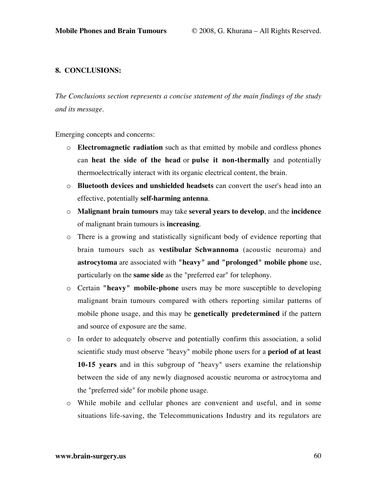## **8. CONCLUSIONS:**

*The Conclusions section represents a concise statement of the main findings of the study and its message.*

Emerging concepts and concerns:

- o **Electromagnetic radiation** such as that emitted by mobile and cordless phones can **heat the side of the head** or **pulse it non-thermally** and potentially thermoelectrically interact with its organic electrical content, the brain.
- o **Bluetooth devices and unshielded headsets** can convert the user's head into an effective, potentially **self-harming antenna**.
- o **Malignant brain tumours** may take **several years to develop**, and the **incidence** of malignant brain tumours is **increasing**.
- o There is a growing and statistically significant body of evidence reporting that brain tumours such as **vestibular Schwannoma** (acoustic neuroma) and **astrocytoma** are associated with **"heavy" and "prolonged" mobile phone** use, particularly on the **same side** as the "preferred ear" for telephony.
- o Certain **"heavy" mobile-phone** users may be more susceptible to developing malignant brain tumours compared with others reporting similar patterns of mobile phone usage, and this may be **genetically predetermined** if the pattern and source of exposure are the same.
- o In order to adequately observe and potentially confirm this association, a solid scientific study must observe "heavy" mobile phone users for a **period of at least 10-15 years** and in this subgroup of "heavy" users examine the relationship between the side of any newly diagnosed acoustic neuroma or astrocytoma and the "preferred side" for mobile phone usage.
- o While mobile and cellular phones are convenient and useful, and in some situations life-saving, the Telecommunications Industry and its regulators are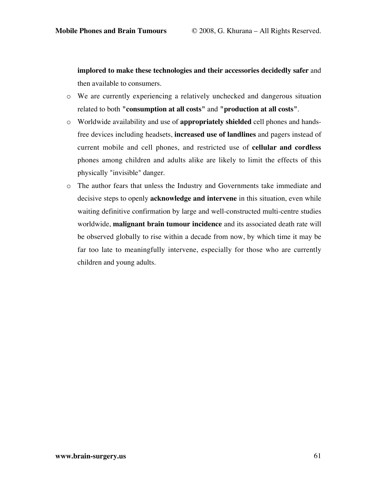**implored to make these technologies and their accessories decidedly safer** and then available to consumers.

- o We are currently experiencing a relatively unchecked and dangerous situation related to both **"consumption at all costs"** and **"production at all costs"**.
- o Worldwide availability and use of **appropriately shielded** cell phones and handsfree devices including headsets, **increased use of landlines** and pagers instead of current mobile and cell phones, and restricted use of **cellular and cordless** phones among children and adults alike are likely to limit the effects of this physically "invisible" danger.
- o The author fears that unless the Industry and Governments take immediate and decisive steps to openly **acknowledge and intervene** in this situation, even while waiting definitive confirmation by large and well-constructed multi-centre studies worldwide, **malignant brain tumour incidence** and its associated death rate will be observed globally to rise within a decade from now, by which time it may be far too late to meaningfully intervene, especially for those who are currently children and young adults.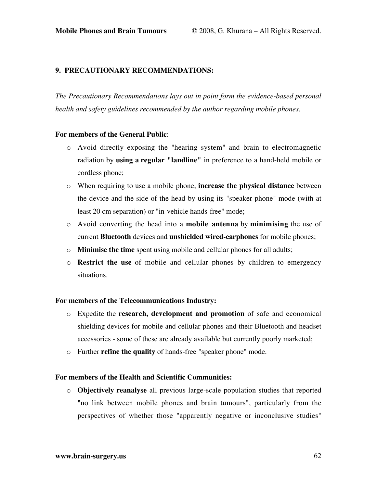## **9. PRECAUTIONARY RECOMMENDATIONS:**

*The Precautionary Recommendations lays out in point form the evidence-based personal health and safety guidelines recommended by the author regarding mobile phones.*

#### **For members of the General Public**:

- o Avoid directly exposing the "hearing system" and brain to electromagnetic radiation by **using a regular "landline"** in preference to a hand-held mobile or cordless phone;
- o When requiring to use a mobile phone, **increase the physical distance** between the device and the side of the head by using its "speaker phone" mode (with at least 20 cm separation) or "in-vehicle hands-free" mode;
- o Avoid converting the head into a **mobile antenna** by **minimising** the use of current **Bluetooth** devices and **unshielded wired-earphones** for mobile phones;
- o **Minimise the time** spent using mobile and cellular phones for all adults;
- o **Restrict the use** of mobile and cellular phones by children to emergency situations.

## **For members of the Telecommunications Industry:**

- o Expedite the **research, development and promotion** of safe and economical shielding devices for mobile and cellular phones and their Bluetooth and headset accessories - some of these are already available but currently poorly marketed;
- o Further **refine the quality** of hands-free "speaker phone" mode.

#### **For members of the Health and Scientific Communities:**

o **Objectively reanalyse** all previous large-scale population studies that reported "no link between mobile phones and brain tumours", particularly from the perspectives of whether those "apparently negative or inconclusive studies"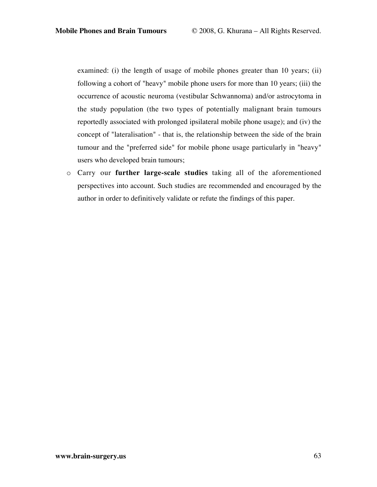examined: (i) the length of usage of mobile phones greater than 10 years; (ii) following a cohort of "heavy" mobile phone users for more than 10 years; (iii) the occurrence of acoustic neuroma (vestibular Schwannoma) and/or astrocytoma in the study population (the two types of potentially malignant brain tumours reportedly associated with prolonged ipsilateral mobile phone usage); and (iv) the concept of "lateralisation" - that is, the relationship between the side of the brain tumour and the "preferred side" for mobile phone usage particularly in "heavy" users who developed brain tumours;

o Carry our **further large-scale studies** taking all of the aforementioned perspectives into account. Such studies are recommended and encouraged by the author in order to definitively validate or refute the findings of this paper.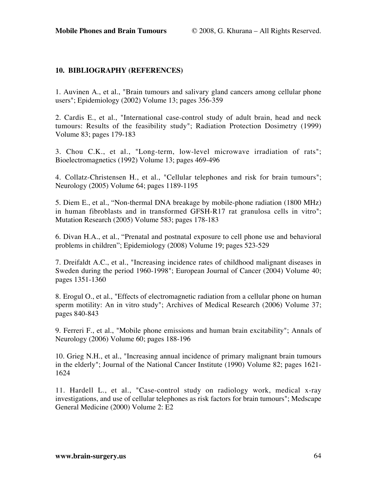## **10. BIBLIOGRAPHY (REFERENCES)**

1. Auvinen A., et al., "Brain tumours and salivary gland cancers among cellular phone users"; Epidemiology (2002) Volume 13; pages 356-359

2. Cardis E., et al., "International case-control study of adult brain, head and neck tumours: Results of the feasibility study"; Radiation Protection Dosimetry (1999) Volume 83; pages 179-183

3. Chou C.K., et al., "Long-term, low-level microwave irradiation of rats"; Bioelectromagnetics (1992) Volume 13; pages 469-496

4. Collatz-Christensen H., et al., "Cellular telephones and risk for brain tumours"; Neurology (2005) Volume 64; pages 1189-1195

5. Diem E., et al., "Non-thermal DNA breakage by mobile-phone radiation (1800 MHz) in human fibroblasts and in transformed GFSH-R17 rat granulosa cells in vitro"; Mutation Research (2005) Volume 583; pages 178-183

6. Divan H.A., et al., "Prenatal and postnatal exposure to cell phone use and behavioral problems in children"; Epidemiology (2008) Volume 19; pages 523-529

7. Dreifaldt A.C., et al., "Increasing incidence rates of childhood malignant diseases in Sweden during the period 1960-1998"; European Journal of Cancer (2004) Volume 40; pages 1351-1360

8. Erogul O., et al., "Effects of electromagnetic radiation from a cellular phone on human sperm motility: An in vitro study"; Archives of Medical Research (2006) Volume 37; pages 840-843

9. Ferreri F., et al., "Mobile phone emissions and human brain excitability"; Annals of Neurology (2006) Volume 60; pages 188-196

10. Grieg N.H., et al., "Increasing annual incidence of primary malignant brain tumours in the elderly"; Journal of the National Cancer Institute (1990) Volume 82; pages 1621- 1624

11. Hardell L., et al., "Case-control study on radiology work, medical x-ray investigations, and use of cellular telephones as risk factors for brain tumours"; Medscape General Medicine (2000) Volume 2: E2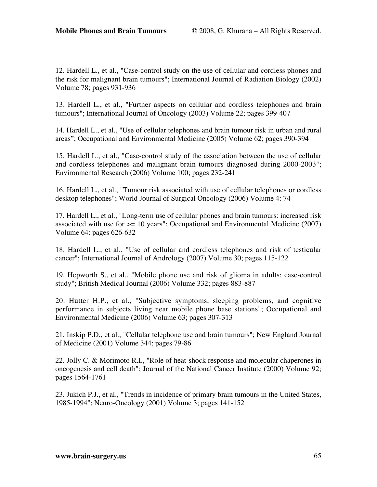12. Hardell L., et al., "Case-control study on the use of cellular and cordless phones and the risk for malignant brain tumours"; International Journal of Radiation Biology (2002) Volume 78; pages 931-936

13. Hardell L., et al., "Further aspects on cellular and cordless telephones and brain tumours"; International Journal of Oncology (2003) Volume 22; pages 399-407

14. Hardell L., et al., "Use of cellular telephones and brain tumour risk in urban and rural areas"; Occupational and Environmental Medicine (2005) Volume 62; pages 390-394

15. Hardell L., et al., "Case-control study of the association between the use of cellular and cordless telephones and malignant brain tumours diagnosed during 2000-2003"; Environmental Research (2006) Volume 100; pages 232-241

16. Hardell L., et al., "Tumour risk associated with use of cellular telephones or cordless desktop telephones"; World Journal of Surgical Oncology (2006) Volume 4: 74

17. Hardell L., et al., "Long-term use of cellular phones and brain tumours: increased risk associated with use for  $> = 10$  years"; Occupational and Environmental Medicine (2007) Volume 64: pages 626-632

18. Hardell L., et al., "Use of cellular and cordless telephones and risk of testicular cancer"; International Journal of Andrology (2007) Volume 30; pages 115-122

19. Hepworth S., et al., "Mobile phone use and risk of glioma in adults: case-control study"; British Medical Journal (2006) Volume 332; pages 883-887

20. Hutter H.P., et al., "Subjective symptoms, sleeping problems, and cognitive performance in subjects living near mobile phone base stations"; Occupational and Environmental Medicine (2006) Volume 63; pages 307-313

21. Inskip P.D., et al., "Cellular telephone use and brain tumours"; New England Journal of Medicine (2001) Volume 344; pages 79-86

22. Jolly C. & Morimoto R.I., "Role of heat-shock response and molecular chaperones in oncogenesis and cell death"; Journal of the National Cancer Institute (2000) Volume 92; pages 1564-1761

23. Jukich P.J., et al., "Trends in incidence of primary brain tumours in the United States, 1985-1994"; Neuro-Oncology (2001) Volume 3; pages 141-152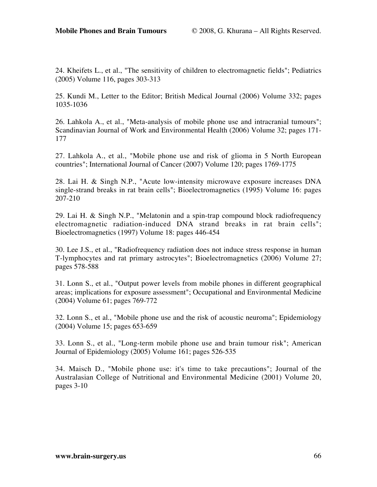24. Kheifets L., et al., "The sensitivity of children to electromagnetic fields"; Pediatrics (2005) Volume 116, pages 303-313

25. Kundi M., Letter to the Editor; British Medical Journal (2006) Volume 332; pages 1035-1036

26. Lahkola A., et al., "Meta-analysis of mobile phone use and intracranial tumours"; Scandinavian Journal of Work and Environmental Health (2006) Volume 32; pages 171- 177

27. Lahkola A., et al., "Mobile phone use and risk of glioma in 5 North European countries"; International Journal of Cancer (2007) Volume 120; pages 1769-1775

28. Lai H. & Singh N.P., "Acute low-intensity microwave exposure increases DNA single-strand breaks in rat brain cells"; Bioelectromagnetics (1995) Volume 16: pages 207-210

29. Lai H. & Singh N.P., "Melatonin and a spin-trap compound block radiofrequency electromagnetic radiation-induced DNA strand breaks in rat brain cells"; Bioelectromagnetics (1997) Volume 18: pages 446-454

30. Lee J.S., et al., "Radiofrequency radiation does not induce stress response in human T-lymphocytes and rat primary astrocytes"; Bioelectromagnetics (2006) Volume 27; pages 578-588

31. Lonn S., et al., "Output power levels from mobile phones in different geographical areas; implications for exposure assessment"; Occupational and Environmental Medicine (2004) Volume 61; pages 769-772

32. Lonn S., et al., "Mobile phone use and the risk of acoustic neuroma"; Epidemiology (2004) Volume 15; pages 653-659

33. Lonn S., et al., "Long-term mobile phone use and brain tumour risk"; American Journal of Epidemiology (2005) Volume 161; pages 526-535

34. Maisch D., "Mobile phone use: it's time to take precautions"; Journal of the Australasian College of Nutritional and Environmental Medicine (2001) Volume 20, pages 3-10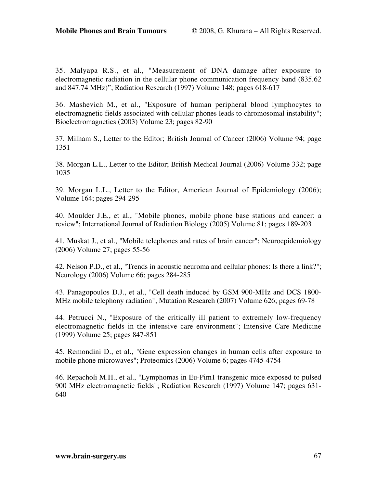35. Malyapa R.S., et al., "Measurement of DNA damage after exposure to electromagnetic radiation in the cellular phone communication frequency band (835.62 and 847.74 MHz)"; Radiation Research (1997) Volume 148; pages 618-617

36. Mashevich M., et al., "Exposure of human peripheral blood lymphocytes to electromagnetic fields associated with cellular phones leads to chromosomal instability"; Bioelectromagnetics (2003) Volume 23; pages 82-90

37. Milham S., Letter to the Editor; British Journal of Cancer (2006) Volume 94; page 1351

38. Morgan L.L., Letter to the Editor; British Medical Journal (2006) Volume 332; page 1035

39. Morgan L.L., Letter to the Editor, American Journal of Epidemiology (2006); Volume 164; pages 294-295

40. Moulder J.E., et al., "Mobile phones, mobile phone base stations and cancer: a review"; International Journal of Radiation Biology (2005) Volume 81; pages 189-203

41. Muskat J., et al., "Mobile telephones and rates of brain cancer"; Neuroepidemiology (2006) Volume 27; pages 55-56

42. Nelson P.D., et al., "Trends in acoustic neuroma and cellular phones: Is there a link?"; Neurology (2006) Volume 66; pages 284-285

43. Panagopoulos D.J., et al., "Cell death induced by GSM 900-MHz and DCS 1800- MHz mobile telephony radiation"; Mutation Research (2007) Volume 626; pages 69-78

44. Petrucci N., "Exposure of the critically ill patient to extremely low-frequency electromagnetic fields in the intensive care environment"; Intensive Care Medicine (1999) Volume 25; pages 847-851

45. Remondini D., et al., "Gene expression changes in human cells after exposure to mobile phone microwaves"; Proteomics (2006) Volume 6; pages 4745-4754

46. Repacholi M.H., et al., "Lymphomas in Eu-Pim1 transgenic mice exposed to pulsed 900 MHz electromagnetic fields"; Radiation Research (1997) Volume 147; pages 631- 640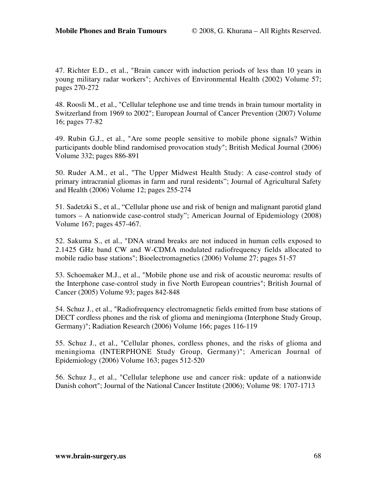47. Richter E.D., et al., "Brain cancer with induction periods of less than 10 years in young military radar workers"; Archives of Environmental Health (2002) Volume 57; pages 270-272

48. Roosli M., et al., "Cellular telephone use and time trends in brain tumour mortality in Switzerland from 1969 to 2002"; European Journal of Cancer Prevention (2007) Volume 16; pages 77-82

49. Rubin G.J., et al., "Are some people sensitive to mobile phone signals? Within participants double blind randomised provocation study"; British Medical Journal (2006) Volume 332; pages 886-891

50. Ruder A.M., et al., "The Upper Midwest Health Study: A case-control study of primary intracranial gliomas in farm and rural residents"; Journal of Agricultural Safety and Health (2006) Volume 12; pages 255-274

51. Sadetzki S., et al., "Cellular phone use and risk of benign and malignant parotid gland tumors – A nationwide case-control study"; American Journal of Epidemiology (2008) Volume 167; pages 457-467.

52. Sakuma S., et al., "DNA strand breaks are not induced in human cells exposed to 2.1425 GHz band CW and W-CDMA modulated radiofrequency fields allocated to mobile radio base stations"; Bioelectromagnetics (2006) Volume 27; pages 51-57

53. Schoemaker M.J., et al., "Mobile phone use and risk of acoustic neuroma: results of the Interphone case-control study in five North European countries"; British Journal of Cancer (2005) Volume 93; pages 842-848

54. Schuz J., et al., "Radiofrequency electromagnetic fields emitted from base stations of DECT cordless phones and the risk of glioma and meningioma (Interphone Study Group, Germany)"; Radiation Research (2006) Volume 166; pages 116-119

55. Schuz J., et al., "Cellular phones, cordless phones, and the risks of glioma and meningioma (INTERPHONE Study Group, Germany)"; American Journal of Epidemiology (2006) Volume 163; pages 512-520

56. Schuz J., et al., "Cellular telephone use and cancer risk: update of a nationwide Danish cohort"; Journal of the National Cancer Institute (2006); Volume 98: 1707-1713